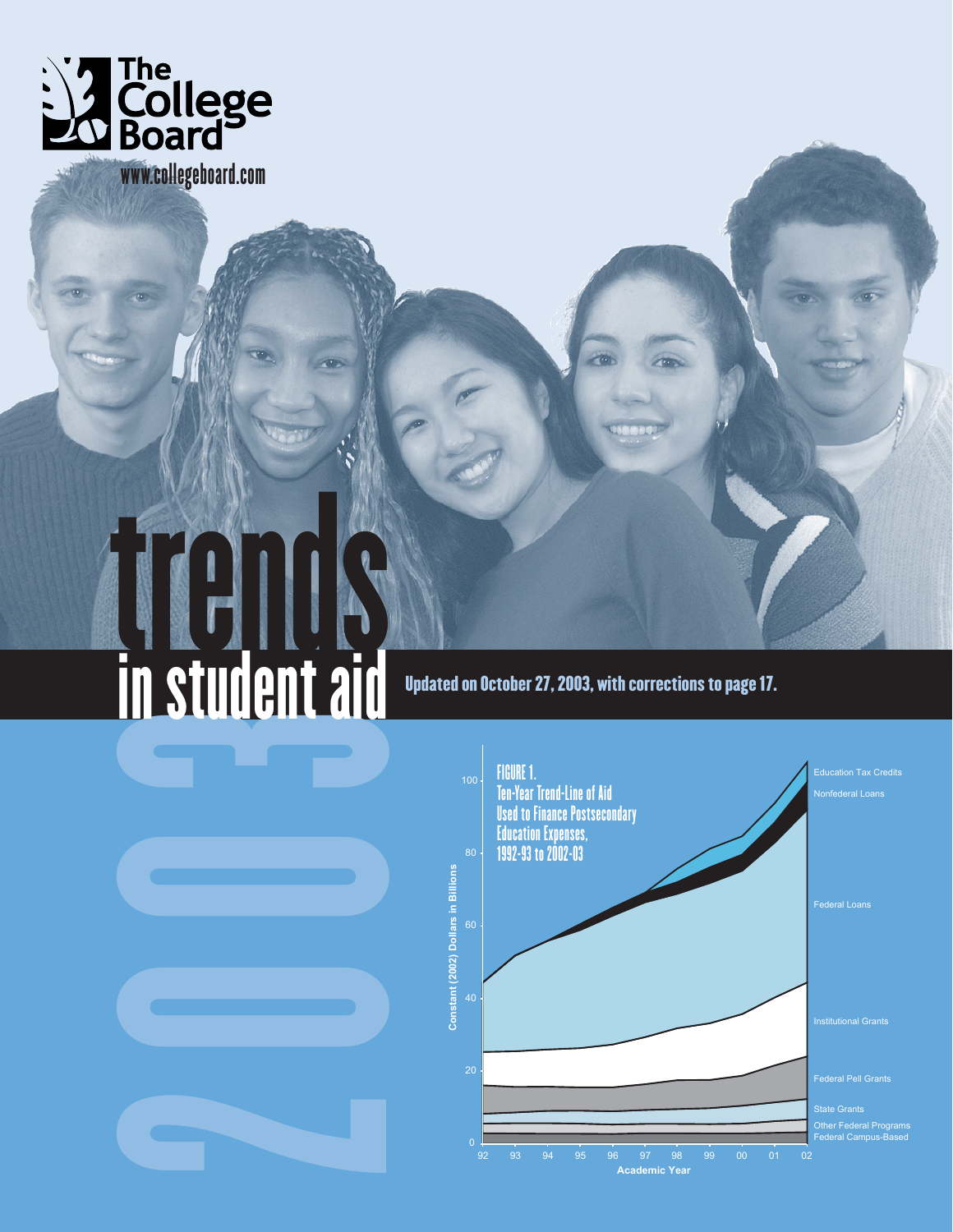

www.collegeboard.com

# 2003 in student aid

Updated on October 27, 2003, with corrections to page 17.

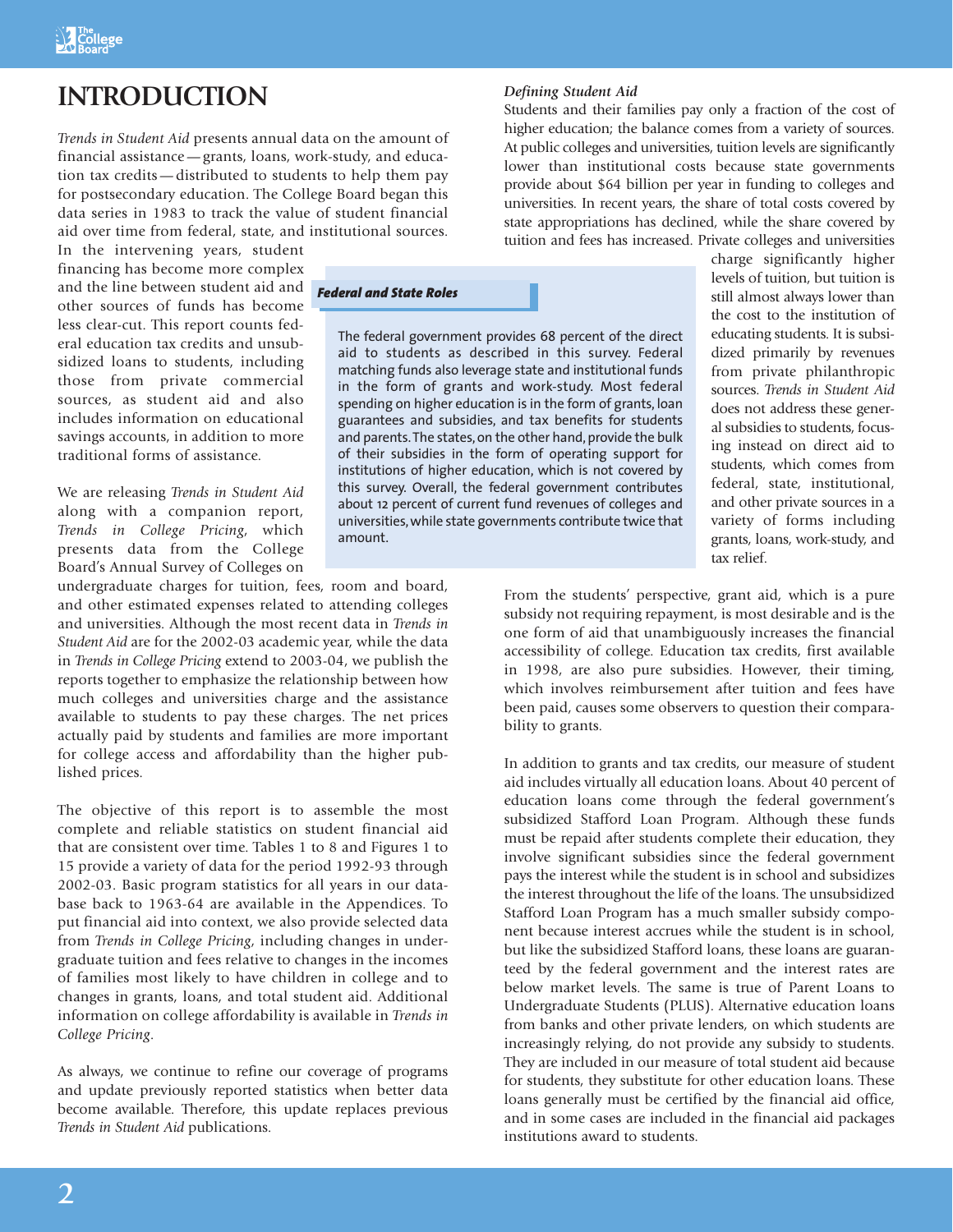# **INTRODUCTION**

*Trends in Student Aid* presents annual data on the amount of financial assistance—grants, loans, work-study, and education tax credits—distributed to students to help them pay for postsecondary education. The College Board began this data series in 1983 to track the value of student financial aid over time from federal, state, and institutional sources.

*Federal and State Roles*

In the intervening years, student financing has become more complex and the line between student aid and other sources of funds has become less clear-cut. This report counts federal education tax credits and unsubsidized loans to students, including those from private commercial sources, as student aid and also includes information on educational savings accounts, in addition to more traditional forms of assistance.

We are releasing *Trends in Student Aid* along with a companion report, *Trends in College Pricing*, which presents data from the College Board's Annual Survey of Colleges on

undergraduate charges for tuition, fees, room and board, and other estimated expenses related to attending colleges and universities. Although the most recent data in *Trends in Student Aid* are for the 2002-03 academic year, while the data in *Trends in College Pricing* extend to 2003-04, we publish the reports together to emphasize the relationship between how much colleges and universities charge and the assistance available to students to pay these charges. The net prices actually paid by students and families are more important for college access and affordability than the higher published prices.

The objective of this report is to assemble the most complete and reliable statistics on student financial aid that are consistent over time. Tables 1 to 8 and Figures 1 to 15 provide a variety of data for the period 1992-93 through 2002-03. Basic program statistics for all years in our database back to 1963-64 are available in the Appendices. To put financial aid into context, we also provide selected data from *Trends in College Pricing*, including changes in undergraduate tuition and fees relative to changes in the incomes of families most likely to have children in college and to changes in grants, loans, and total student aid. Additional information on college affordability is available in *Trends in College Pricing*.

As always, we continue to refine our coverage of programs and update previously reported statistics when better data become available. Therefore, this update replaces previous *Trends in Student Aid* publications.

## *Defining Student Aid*

Students and their families pay only a fraction of the cost of higher education; the balance comes from a variety of sources. At public colleges and universities, tuition levels are significantly lower than institutional costs because state governments provide about \$64 billion per year in funding to colleges and universities. In recent years, the share of total costs covered by state appropriations has declined, while the share covered by tuition and fees has increased. Private colleges and universities

The federal government provides 68 percent of the direct aid to students as described in this survey. Federal matching funds also leverage state and institutional funds in the form of grants and work-study. Most federal spending on higher education is in the form of grants, loan guarantees and subsidies, and tax benefits for students and parents.The states, on the other hand, provide the bulk of their subsidies in the form of operating support for institutions of higher education, which is not covered by this survey. Overall, the federal government contributes about 12 percent of current fund revenues of colleges and universities, while state governments contribute twice that amount.

charge significantly higher levels of tuition, but tuition is still almost always lower than the cost to the institution of educating students. It is subsidized primarily by revenues from private philanthropic sources. *Trends in Student Aid* does not address these general subsidies to students, focusing instead on direct aid to students, which comes from federal, state, institutional, and other private sources in a variety of forms including grants, loans, work-study, and tax relief.

From the students' perspective, grant aid, which is a pure subsidy not requiring repayment, is most desirable and is the one form of aid that unambiguously increases the financial accessibility of college. Education tax credits, first available in 1998, are also pure subsidies. However, their timing, which involves reimbursement after tuition and fees have been paid, causes some observers to question their comparability to grants.

In addition to grants and tax credits, our measure of student aid includes virtually all education loans. About 40 percent of education loans come through the federal government's subsidized Stafford Loan Program. Although these funds must be repaid after students complete their education, they involve significant subsidies since the federal government pays the interest while the student is in school and subsidizes the interest throughout the life of the loans. The unsubsidized Stafford Loan Program has a much smaller subsidy component because interest accrues while the student is in school, but like the subsidized Stafford loans, these loans are guaranteed by the federal government and the interest rates are below market levels. The same is true of Parent Loans to Undergraduate Students (PLUS). Alternative education loans from banks and other private lenders, on which students are increasingly relying, do not provide any subsidy to students. They are included in our measure of total student aid because for students, they substitute for other education loans. These loans generally must be certified by the financial aid office, and in some cases are included in the financial aid packages institutions award to students.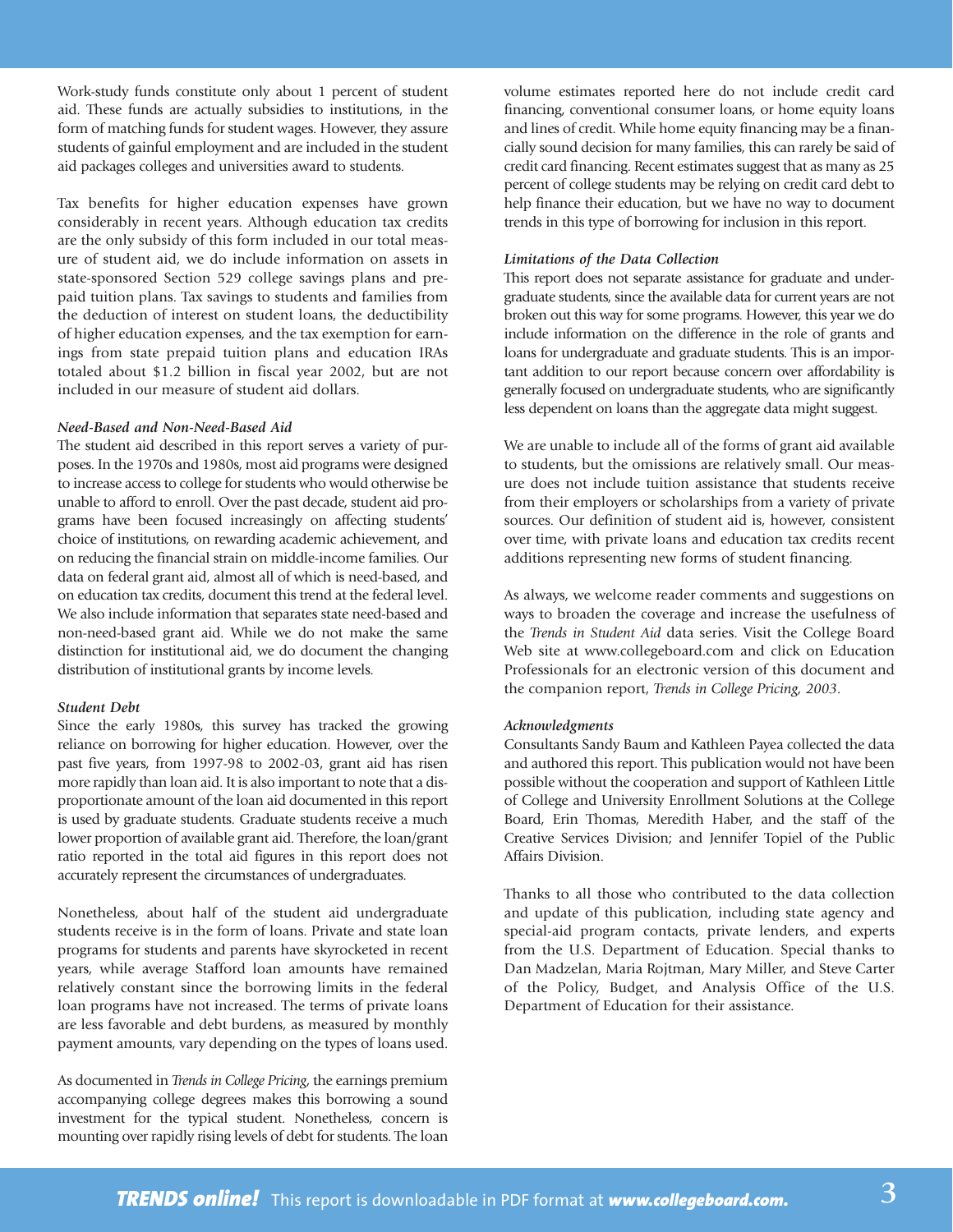Work-study funds constitute only about 1 percent of student aid. These funds are actually subsidies to institutions, in the form of matching funds for student wages. However, they assure students of gainful employment and are included in the student aid packages colleges and universities award to students.

Tax benefits for higher education expenses have grown considerably in recent years. Although education tax credits are the only subsidy of this form included in our total measure of student aid, we do include information on assets in state-sponsored Section 529 college savings plans and prepaid tuition plans. Tax savings to students and families from the deduction of interest on student loans, the deductibility of higher education expenses, and the tax exemption for earnings from state prepaid tuition plans and education IRAs totaled about \$1.2 billion in fiscal year 2002, but are not included in our measure of student aid dollars.

## *Need-Based and Non-Need-Based Aid*

The student aid described in this report serves a variety of purposes. In the 1970s and 1980s, most aid programs were designed to increase access to college for students who would otherwise be unable to afford to enroll. Over the past decade, student aid programs have been focused increasingly on affecting students' choice of institutions, on rewarding academic achievement, and on reducing the financial strain on middle-income families. Our data on federal grant aid, almost all of which is need-based, and on education tax credits, document this trend at the federal level. We also include information that separates state need-based and non-need-based grant aid. While we do not make the same distinction for institutional aid, we do document the changing distribution of institutional grants by income levels.

### *Student Debt*

Since the early 1980s, this survey has tracked the growing reliance on borrowing for higher education. However, over the past five years, from 1997-98 to 2002-03, grant aid has risen more rapidly than loan aid. It is also important to note that a disproportionate amount of the loan aid documented in this report is used by graduate students. Graduate students receive a much lower proportion of available grant aid. Therefore, the loan/grant ratio reported in the total aid figures in this report does not accurately represent the circumstances of undergraduates.

Nonetheless, about half of the student aid undergraduate students receive is in the form of loans. Private and state loan programs for students and parents have skyrocketed in recent years, while average Stafford loan amounts have remained relatively constant since the borrowing limits in the federal loan programs have not increased. The terms of private loans are less favorable and debt burdens, as measured by monthly payment amounts, vary depending on the types of loans used.

As documented in *Trends in College Pricing*, the earnings premium accompanying college degrees makes this borrowing a sound investment for the typical student. Nonetheless, concern is mounting over rapidly rising levels of debt for students. The loan

volume estimates reported here do not include credit card financing, conventional consumer loans, or home equity loans and lines of credit. While home equity financing may be a financially sound decision for many families, this can rarely be said of credit card financing. Recent estimates suggest that as many as 25 percent of college students may be relying on credit card debt to help finance their education, but we have no way to document trends in this type of borrowing for inclusion in this report.

### *Limitations of the Data Collection*

This report does not separate assistance for graduate and undergraduate students, since the available data for current years are not broken out this way for some programs. However, this year we do include information on the difference in the role of grants and loans for undergraduate and graduate students. This is an important addition to our report because concern over affordability is generally focused on undergraduate students, who are significantly less dependent on loans than the aggregate data might suggest.

We are unable to include all of the forms of grant aid available to students, but the omissions are relatively small. Our measure does not include tuition assistance that students receive from their employers or scholarships from a variety of private sources. Our definition of student aid is, however, consistent over time, with private loans and education tax credits recent additions representing new forms of student financing.

As always, we welcome reader comments and suggestions on ways to broaden the coverage and increase the usefulness of the *Trends in Student Aid* data series. Visit the College Board Web site at www.collegeboard.com and click on Education Professionals for an electronic version of this document and the companion report, *Trends in College Pricing, 2003*.

### *Acknowledgments*

Consultants Sandy Baum and Kathleen Payea collected the data and authored this report. This publication would not have been possible without the cooperation and support of Kathleen Little of College and University Enrollment Solutions at the College Board, Erin Thomas, Meredith Haber, and the staff of the Creative Services Division; and Jennifer Topiel of the Public Affairs Division.

Thanks to all those who contributed to the data collection and update of this publication, including state agency and special-aid program contacts, private lenders, and experts from the U.S. Department of Education. Special thanks to Dan Madzelan, Maria Rojtman, Mary Miller, and Steve Carter of the Policy, Budget, and Analysis Office of the U.S. Department of Education for their assistance.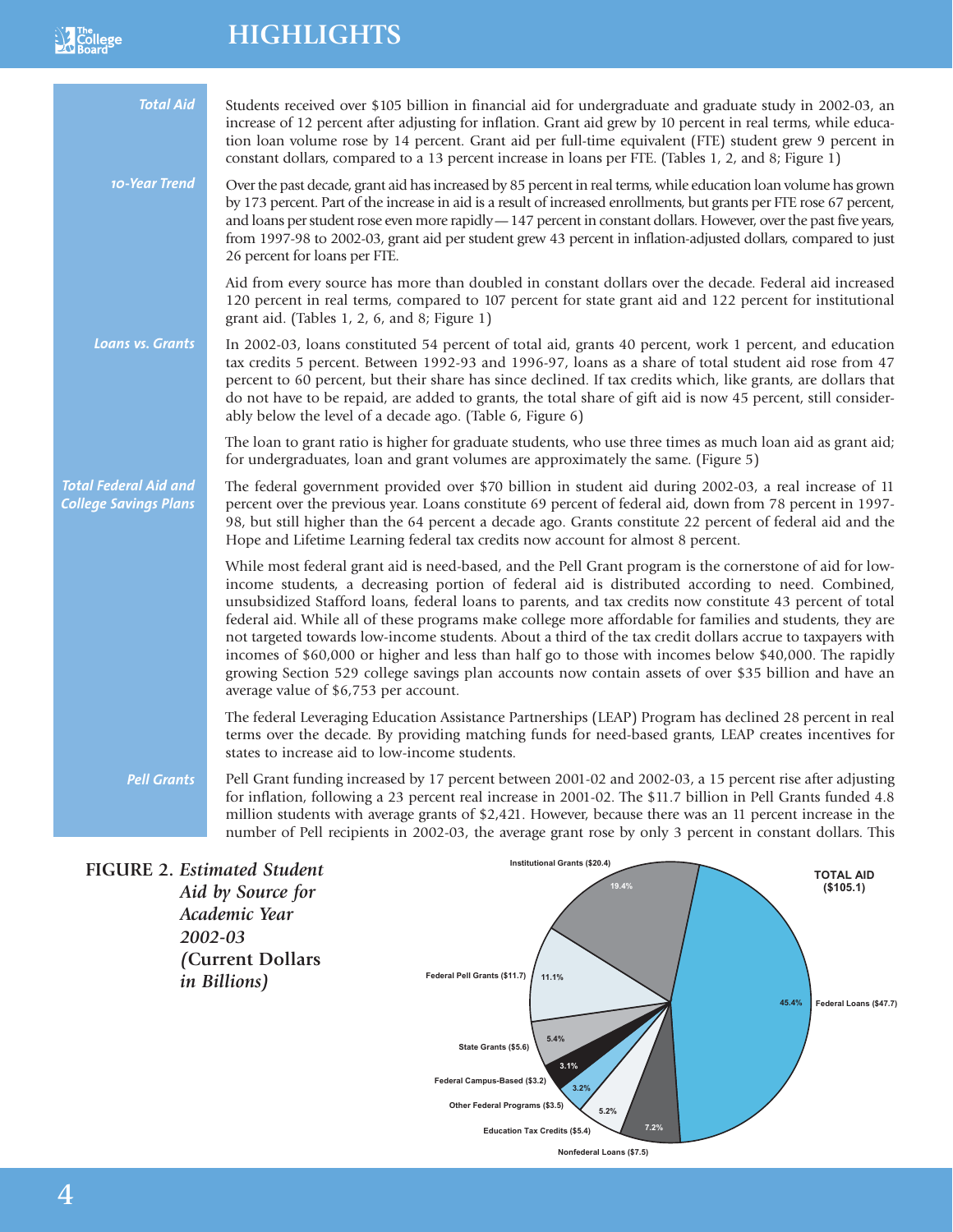# **HIGHLIGHTS**

 $\frac{1}{2}$   $\frac{1}{2}$   $\frac{1}{2}$   $\frac{1}{2}$   $\frac{1}{2}$   $\frac{1}{2}$   $\frac{1}{2}$   $\frac{1}{2}$   $\frac{1}{2}$   $\frac{1}{2}$   $\frac{1}{2}$   $\frac{1}{2}$   $\frac{1}{2}$   $\frac{1}{2}$   $\frac{1}{2}$   $\frac{1}{2}$   $\frac{1}{2}$   $\frac{1}{2}$   $\frac{1}{2}$   $\frac{1}{2}$   $\frac{1}{2}$   $\frac{1}{2}$ 

| <b>Total Aid</b>                                             | Students received over \$105 billion in financial aid for undergraduate and graduate study in 2002-03, an<br>increase of 12 percent after adjusting for inflation. Grant aid grew by 10 percent in real terms, while educa-<br>tion loan volume rose by 14 percent. Grant aid per full-time equivalent (FTE) student grew 9 percent in<br>constant dollars, compared to a 13 percent increase in loans per FTE. (Tables 1, 2, and 8; Figure 1)                                                                                                                                                                                                                                                                                                                                                                   |
|--------------------------------------------------------------|------------------------------------------------------------------------------------------------------------------------------------------------------------------------------------------------------------------------------------------------------------------------------------------------------------------------------------------------------------------------------------------------------------------------------------------------------------------------------------------------------------------------------------------------------------------------------------------------------------------------------------------------------------------------------------------------------------------------------------------------------------------------------------------------------------------|
| 10-Year Trend                                                | Over the past decade, grant aid has increased by 85 percent in real terms, while education loan volume has grown<br>by 173 percent. Part of the increase in aid is a result of increased enrollments, but grants per FTE rose 67 percent,<br>and loans per student rose even more rapidly - 147 percent in constant dollars. However, over the past five years,<br>from 1997-98 to 2002-03, grant aid per student grew 43 percent in inflation-adjusted dollars, compared to just<br>26 percent for loans per FTE.                                                                                                                                                                                                                                                                                               |
|                                                              | Aid from every source has more than doubled in constant dollars over the decade. Federal aid increased<br>120 percent in real terms, compared to 107 percent for state grant aid and 122 percent for institutional<br>grant aid. (Tables 1, 2, 6, and 8; Figure 1)                                                                                                                                                                                                                                                                                                                                                                                                                                                                                                                                               |
| <b>Loans vs. Grants</b>                                      | In 2002-03, loans constituted 54 percent of total aid, grants 40 percent, work 1 percent, and education<br>tax credits 5 percent. Between 1992-93 and 1996-97, loans as a share of total student aid rose from 47<br>percent to 60 percent, but their share has since declined. If tax credits which, like grants, are dollars that<br>do not have to be repaid, are added to grants, the total share of gift aid is now 45 percent, still consider-<br>ably below the level of a decade ago. (Table 6, Figure 6)                                                                                                                                                                                                                                                                                                |
|                                                              | The loan to grant ratio is higher for graduate students, who use three times as much loan aid as grant aid;<br>for undergraduates, loan and grant volumes are approximately the same. (Figure 5)                                                                                                                                                                                                                                                                                                                                                                                                                                                                                                                                                                                                                 |
| <b>Total Federal Aid and</b><br><b>College Savings Plans</b> | The federal government provided over \$70 billion in student aid during 2002-03, a real increase of 11<br>percent over the previous year. Loans constitute 69 percent of federal aid, down from 78 percent in 1997-<br>98, but still higher than the 64 percent a decade ago. Grants constitute 22 percent of federal aid and the<br>Hope and Lifetime Learning federal tax credits now account for almost 8 percent.                                                                                                                                                                                                                                                                                                                                                                                            |
|                                                              | While most federal grant aid is need-based, and the Pell Grant program is the cornerstone of aid for low-<br>income students, a decreasing portion of federal aid is distributed according to need. Combined,<br>unsubsidized Stafford loans, federal loans to parents, and tax credits now constitute 43 percent of total<br>federal aid. While all of these programs make college more affordable for families and students, they are<br>not targeted towards low-income students. About a third of the tax credit dollars accrue to taxpayers with<br>incomes of \$60,000 or higher and less than half go to those with incomes below \$40,000. The rapidly<br>growing Section 529 college savings plan accounts now contain assets of over \$35 billion and have an<br>average value of \$6,753 per account. |
|                                                              | The federal Leveraging Education Assistance Partnerships (LEAP) Program has declined 28 percent in real<br>terms over the decade. By providing matching funds for need-based grants, LEAP creates incentives for<br>states to increase aid to low-income students.                                                                                                                                                                                                                                                                                                                                                                                                                                                                                                                                               |
| <b>Pell Grants</b>                                           | Pell Grant funding increased by 17 percent between 2001-02 and 2002-03, a 15 percent rise after adjusting<br>for inflation, following a 23 percent real increase in 2001-02. The \$11.7 billion in Pell Grants funded 4.8<br>million students with average grants of \$2,421. However, because there was an 11 percent increase in the<br>number of Pell recipients in 2002-03, the average grant rose by only 3 percent in constant dollars. This                                                                                                                                                                                                                                                                                                                                                               |
| FIGURE 2. Estimated Student                                  | <b>Institutional Grants (\$20.4)</b><br><b>TOTAL AID</b>                                                                                                                                                                                                                                                                                                                                                                                                                                                                                                                                                                                                                                                                                                                                                         |

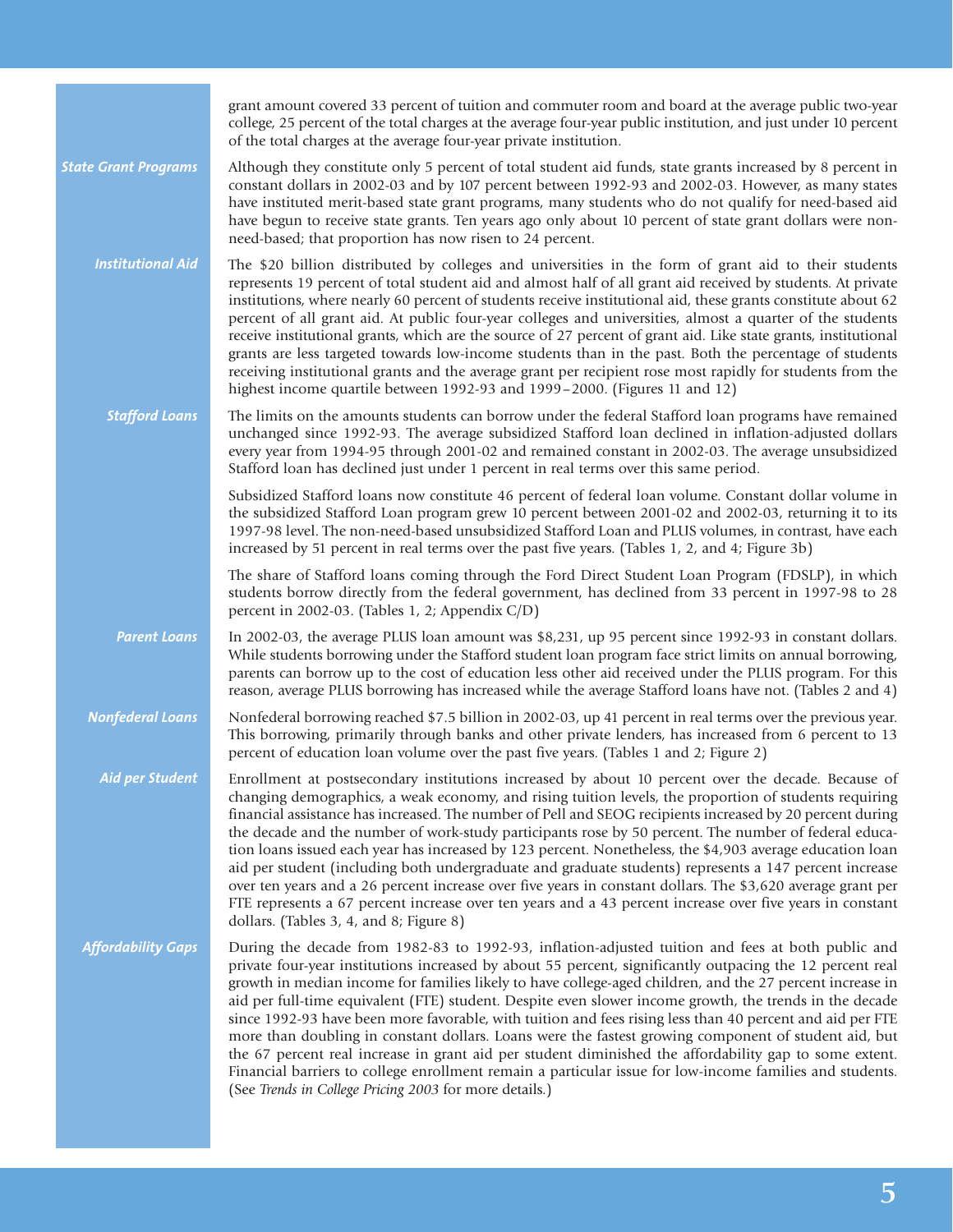|                             | grant amount covered 33 percent of tuition and commuter room and board at the average public two-year<br>college, 25 percent of the total charges at the average four-year public institution, and just under 10 percent<br>of the total charges at the average four-year private institution.                                                                                                                                                                                                                                                                                                                                                                                                                                                                                                                                                                                                                                              |
|-----------------------------|---------------------------------------------------------------------------------------------------------------------------------------------------------------------------------------------------------------------------------------------------------------------------------------------------------------------------------------------------------------------------------------------------------------------------------------------------------------------------------------------------------------------------------------------------------------------------------------------------------------------------------------------------------------------------------------------------------------------------------------------------------------------------------------------------------------------------------------------------------------------------------------------------------------------------------------------|
| <b>State Grant Programs</b> | Although they constitute only 5 percent of total student aid funds, state grants increased by 8 percent in<br>constant dollars in 2002-03 and by 107 percent between 1992-93 and 2002-03. However, as many states<br>have instituted merit-based state grant programs, many students who do not qualify for need-based aid<br>have begun to receive state grants. Ten years ago only about 10 percent of state grant dollars were non-<br>need-based; that proportion has now risen to 24 percent.                                                                                                                                                                                                                                                                                                                                                                                                                                          |
| <b>Institutional Aid</b>    | The \$20 billion distributed by colleges and universities in the form of grant aid to their students<br>represents 19 percent of total student aid and almost half of all grant aid received by students. At private<br>institutions, where nearly 60 percent of students receive institutional aid, these grants constitute about 62<br>percent of all grant aid. At public four-year colleges and universities, almost a quarter of the students<br>receive institutional grants, which are the source of 27 percent of grant aid. Like state grants, institutional<br>grants are less targeted towards low-income students than in the past. Both the percentage of students<br>receiving institutional grants and the average grant per recipient rose most rapidly for students from the<br>highest income quartile between 1992-93 and 1999-2000. (Figures 11 and 12)                                                                 |
| <b>Stafford Loans</b>       | The limits on the amounts students can borrow under the federal Stafford loan programs have remained<br>unchanged since 1992-93. The average subsidized Stafford loan declined in inflation-adjusted dollars<br>every year from 1994-95 through 2001-02 and remained constant in 2002-03. The average unsubsidized<br>Stafford loan has declined just under 1 percent in real terms over this same period.                                                                                                                                                                                                                                                                                                                                                                                                                                                                                                                                  |
|                             | Subsidized Stafford loans now constitute 46 percent of federal loan volume. Constant dollar volume in<br>the subsidized Stafford Loan program grew 10 percent between 2001-02 and 2002-03, returning it to its<br>1997-98 level. The non-need-based unsubsidized Stafford Loan and PLUS volumes, in contrast, have each<br>increased by 51 percent in real terms over the past five years. (Tables 1, 2, and 4; Figure 3b)                                                                                                                                                                                                                                                                                                                                                                                                                                                                                                                  |
|                             | The share of Stafford loans coming through the Ford Direct Student Loan Program (FDSLP), in which<br>students borrow directly from the federal government, has declined from 33 percent in 1997-98 to 28<br>percent in 2002-03. (Tables 1, 2; Appendix C/D)                                                                                                                                                                                                                                                                                                                                                                                                                                                                                                                                                                                                                                                                                 |
| <b>Parent Loans</b>         | In 2002-03, the average PLUS loan amount was \$8,231, up 95 percent since 1992-93 in constant dollars.<br>While students borrowing under the Stafford student loan program face strict limits on annual borrowing,<br>parents can borrow up to the cost of education less other aid received under the PLUS program. For this<br>reason, average PLUS borrowing has increased while the average Stafford loans have not. (Tables 2 and 4)                                                                                                                                                                                                                                                                                                                                                                                                                                                                                                   |
| <b>Nonfederal Loans</b>     | Nonfederal borrowing reached \$7.5 billion in 2002-03, up 41 percent in real terms over the previous year.<br>This borrowing, primarily through banks and other private lenders, has increased from 6 percent to 13<br>percent of education loan volume over the past five years. (Tables 1 and 2; Figure 2)                                                                                                                                                                                                                                                                                                                                                                                                                                                                                                                                                                                                                                |
| <b>Aid per Student</b>      | Enrollment at postsecondary institutions increased by about 10 percent over the decade. Because of<br>changing demographics, a weak economy, and rising tuition levels, the proportion of students requiring<br>financial assistance has increased. The number of Pell and SEOG recipients increased by 20 percent during<br>the decade and the number of work-study participants rose by 50 percent. The number of federal educa-<br>tion loans issued each year has increased by 123 percent. Nonetheless, the \$4,903 average education loan<br>aid per student (including both undergraduate and graduate students) represents a 147 percent increase<br>over ten years and a 26 percent increase over five years in constant dollars. The \$3,620 average grant per<br>FTE represents a 67 percent increase over ten years and a 43 percent increase over five years in constant<br>dollars. (Tables 3, 4, and 8; Figure 8)            |
| <b>Affordability Gaps</b>   | During the decade from 1982-83 to 1992-93, inflation-adjusted tuition and fees at both public and<br>private four-year institutions increased by about 55 percent, significantly outpacing the 12 percent real<br>growth in median income for families likely to have college-aged children, and the 27 percent increase in<br>aid per full-time equivalent (FTE) student. Despite even slower income growth, the trends in the decade<br>since 1992-93 have been more favorable, with tuition and fees rising less than 40 percent and aid per FTE<br>more than doubling in constant dollars. Loans were the fastest growing component of student aid, but<br>the 67 percent real increase in grant aid per student diminished the affordability gap to some extent.<br>Financial barriers to college enrollment remain a particular issue for low-income families and students.<br>(See Trends in College Pricing 2003 for more details.) |

# **5**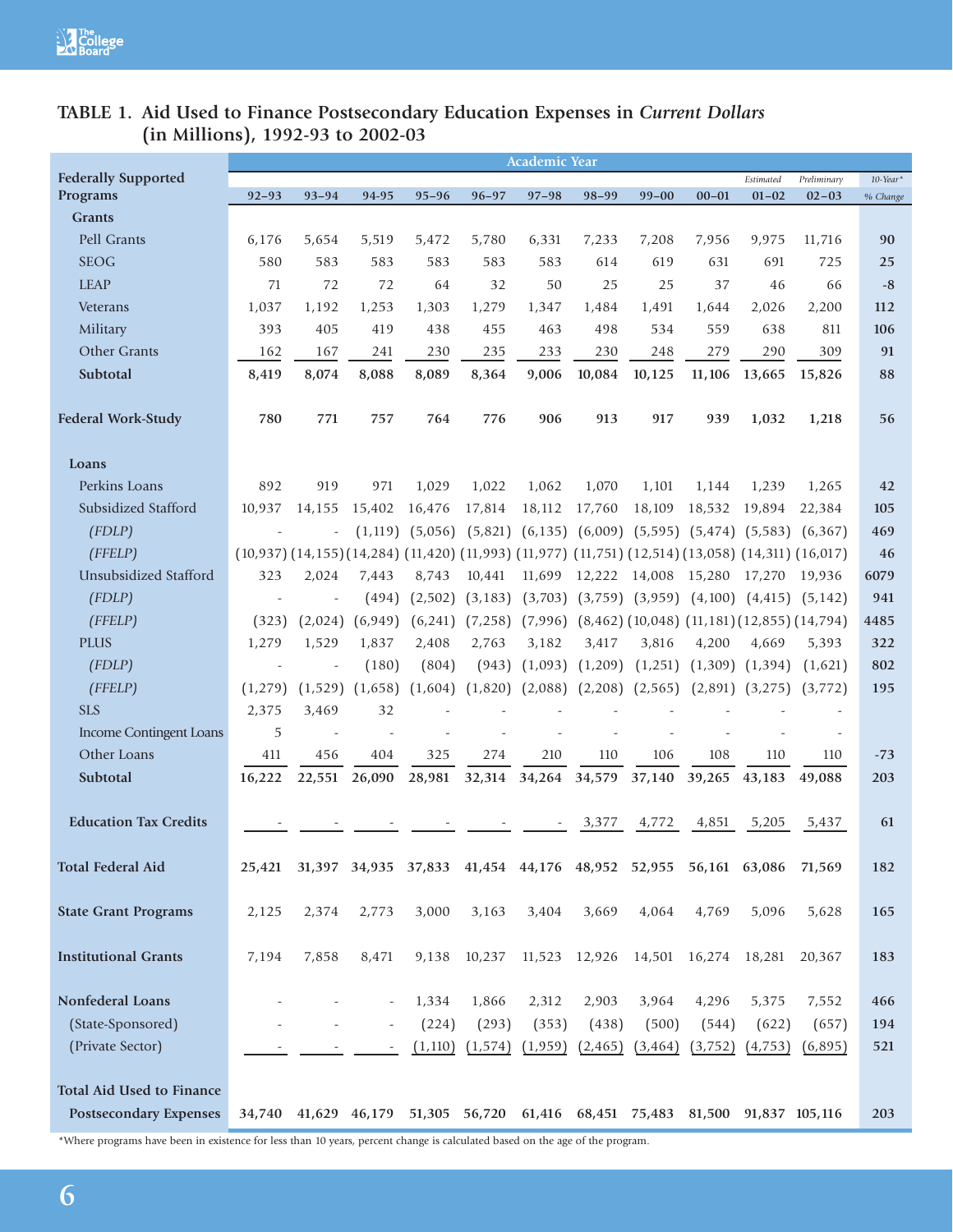# **TABLE 1. Aid Used to Finance Postsecondary Education Expenses in** *Current Dollars* **(in Millions), 1992-93 to 2002-03**

|                                  |                                                                                                                          |           |                          |           |           | <b>Academic Year</b> |               |                                                                        |                     |            |                                               |             |
|----------------------------------|--------------------------------------------------------------------------------------------------------------------------|-----------|--------------------------|-----------|-----------|----------------------|---------------|------------------------------------------------------------------------|---------------------|------------|-----------------------------------------------|-------------|
| <b>Federally Supported</b>       |                                                                                                                          |           |                          |           |           |                      |               |                                                                        |                     | Estimated  | Preliminary                                   | $10$ -Year* |
| Programs                         | $92 - 93$                                                                                                                | $93 - 94$ | 94-95                    | $95 - 96$ | $96 - 97$ | $97 - 98$            | $98 - 99$     | $99 - 00$                                                              | $00 - 01$           | $01 - 02$  | $02 - 03$                                     | % Change    |
| <b>Grants</b>                    |                                                                                                                          |           |                          |           |           |                      |               |                                                                        |                     |            |                                               |             |
| Pell Grants                      | 6,176                                                                                                                    | 5,654     | 5,519                    | 5,472     | 5,780     | 6,331                | 7,233         | 7,208                                                                  | 7,956               | 9,975      | 11,716                                        | 90          |
| <b>SEOG</b>                      | 580                                                                                                                      | 583       | 583                      | 583       | 583       | 583                  | 614           | 619                                                                    | 631                 | 691        | 725                                           | 25          |
| <b>LEAP</b>                      | 71                                                                                                                       | 72        | 72                       | 64        | 32        | 50                   | 25            | 25                                                                     | 37                  | 46         | 66                                            | $-8$        |
| Veterans                         | 1,037                                                                                                                    | 1,192     | 1,253                    | 1,303     | 1,279     | 1,347                | 1,484         | 1,491                                                                  | 1,644               | 2,026      | 2,200                                         | 112         |
| Military<br>Other Grants         | 393                                                                                                                      | 405       | 419                      | 438       | 455       | 463                  | 498           | 534                                                                    | 559                 | 638<br>290 | 811<br>309                                    | 106<br>91   |
| Subtotal                         | 162                                                                                                                      | 167       | 241<br>8,088             | 230       | 235       | 233                  | 230           | 248                                                                    | 279<br>11,106       |            |                                               |             |
|                                  | 8,419                                                                                                                    | 8,074     |                          | 8,089     | 8,364     | 9,006                | 10,084        | 10,125                                                                 |                     | 13,665     | 15,826                                        | 88          |
| <b>Federal Work-Study</b>        | 780                                                                                                                      | 771       | 757                      | 764       | 776       | 906                  | 913           | 917                                                                    | 939                 | 1,032      | 1,218                                         | 56          |
| Loans                            |                                                                                                                          |           |                          |           |           |                      |               |                                                                        |                     |            |                                               |             |
| Perkins Loans                    | 892                                                                                                                      | 919       | 971                      | 1,029     | 1,022     | 1,062                | 1,070         | 1,101                                                                  | 1,144               | 1,239      | 1,265                                         | 42          |
| Subsidized Stafford              | 10.937                                                                                                                   | 14,155    | 15,402                   | 16,476    | 17,814    | 18,112               | 17,760        | 18,109                                                                 | 18,532              | 19,894     | 22,384                                        | 105         |
| (FDLP)                           |                                                                                                                          |           | (1, 119)                 | (5,056)   |           | $(5,821)$ $(6,135)$  | (6,009)       |                                                                        | $(5,595)$ $(5,474)$ |            | $(5,583)$ $(6,367)$                           | 469         |
| (FFELP)                          | $(10,937)$ $(14,155)$ $(14,284)$ $(11,420)$ $(11,993)$ $(11,977)$ $(11,751)$ $(12,514)$ $(13,058)$ $(14,311)$ $(16,017)$ |           |                          |           |           |                      |               |                                                                        |                     |            |                                               | 46          |
| <b>Unsubsidized Stafford</b>     | 323                                                                                                                      | 2,024     | 7,443                    | 8,743     | 10,441    | 11,699               | 12,222 14,008 |                                                                        | 15,280              | 17,270     | 19,936                                        | 6079        |
| (FDLP)                           |                                                                                                                          |           | (494)                    | (2,502)   | (3, 183)  | (3,703)              |               | $(3,759)$ $(3,959)$ $(4,100)$                                          |                     |            | $(4,415)$ $(5,142)$                           | 941         |
| (FFELP)                          | (323)                                                                                                                    | (2,024)   | (6,949)                  | (6,241)   | (7,258)   | (7,996)              |               |                                                                        |                     |            | $(8,462)$ (10,048) (11,181) (12,855) (14,794) | 4485        |
| <b>PLUS</b>                      | 1,279                                                                                                                    | 1,529     | 1,837                    | 2,408     | 2,763     | 3,182                | 3,417         | 3,816                                                                  | 4,200               | 4,669      | 5,393                                         | 322         |
| (FDLP)                           |                                                                                                                          |           | (180)                    | (804)     | (943)     | (1,093)              | (1,209)       | (1,251)                                                                | (1,309)             | (1, 394)   | (1,621)                                       | 802         |
| (FFELP)                          | (1,279)                                                                                                                  | (1,529)   | (1,658)                  | (1,604)   | (1,820)   | (2,088)              | (2,208)       | (2,565)                                                                | (2,891)             | (3,275)    | (3,772)                                       | 195         |
| <b>SLS</b>                       | 2,375                                                                                                                    | 3,469     | 32                       |           |           |                      |               |                                                                        |                     |            |                                               |             |
| Income Contingent Loans          | 5                                                                                                                        |           |                          |           |           |                      |               |                                                                        |                     |            |                                               |             |
| Other Loans                      | 411                                                                                                                      | 456       | 404                      | 325       | 274       | 210                  | 110           | 106                                                                    | 108                 | 110        | 110                                           | $-73$       |
| Subtotal                         | 16,222                                                                                                                   | 22,551    | 26,090                   | 28,981    |           | 32,314 34,264        | 34,579        | 37,140                                                                 | 39,265              | 43,183     | 49,088                                        | 203         |
|                                  |                                                                                                                          |           |                          |           |           |                      |               |                                                                        |                     |            |                                               |             |
| <b>Education Tax Credits</b>     |                                                                                                                          |           |                          |           |           |                      | 3,377         | 4,772                                                                  | 4,851               | 5,205      | 5,437                                         | 61          |
| <b>Total Federal Aid</b>         | 25,421                                                                                                                   |           |                          |           |           |                      |               | 31,397 34,935 37,833 41,454 44,176 48,952 52,955                       | 56,161 63,086       |            | 71,569                                        | 182         |
| <b>State Grant Programs</b>      | 2,125                                                                                                                    | 2,374     | 2,773                    | 3,000     | 3,163     | 3,404                | 3,669         | 4,064                                                                  | 4,769               | 5,096      | 5,628                                         | 165         |
| <b>Institutional Grants</b>      | 7,194                                                                                                                    | 7,858     | 8,471                    | 9,138     | 10,237    | 11,523 12,926        |               | 14,501 16,274                                                          |                     | 18,281     | 20,367                                        | 183         |
| Nonfederal Loans                 |                                                                                                                          |           | $\overline{\phantom{a}}$ | 1,334     | 1,866     | 2,312                | 2,903         | 3,964                                                                  | 4,296               | 5,375      | 7,552                                         | 466         |
| (State-Sponsored)                |                                                                                                                          |           |                          | (224)     | (293)     | (353)                | (438)         | (500)                                                                  | (544)               | (622)      | (657)                                         | 194         |
| (Private Sector)                 |                                                                                                                          |           |                          | (1, 110)  | (1, 574)  | (1, 959)             | (2, 465)      | (3,464)                                                                | (3, 752)            | (4, 753)   | (6,895)                                       | 521         |
|                                  |                                                                                                                          |           |                          |           |           |                      |               |                                                                        |                     |            |                                               |             |
| <b>Total Aid Used to Finance</b> |                                                                                                                          |           |                          |           |           |                      |               |                                                                        |                     |            |                                               |             |
| <b>Postsecondary Expenses</b>    | 34,740                                                                                                                   |           |                          |           |           |                      |               | 41,629 46,179 51,305 56,720 61,416 68,451 75,483 81,500 91,837 105,116 |                     |            |                                               | 203         |
|                                  |                                                                                                                          |           |                          |           |           |                      |               |                                                                        |                     |            |                                               |             |

\*Where programs have been in existence for less than 10 years, percent change is calculated based on the age of the program.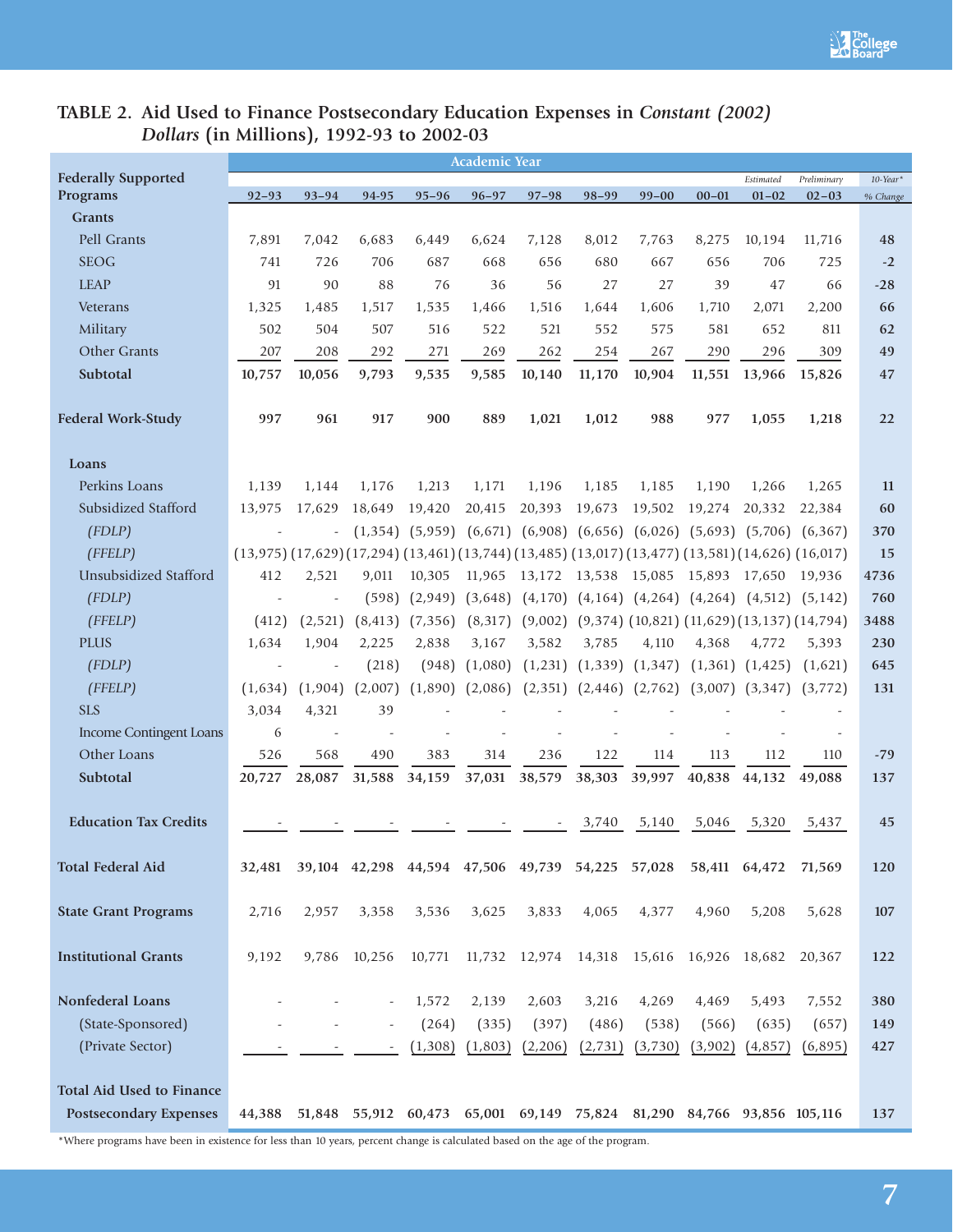

# **TABLE 2. Aid Used to Finance Postsecondary Education Expenses in** *Constant (2002) Dollars* **(in Millions), 1992-93 to 2002-03**

|                                  |                                                                                                                          |           |          |           | <b>Academic Year</b> |                                                                        |           |                                                       |           |                      |             |             |
|----------------------------------|--------------------------------------------------------------------------------------------------------------------------|-----------|----------|-----------|----------------------|------------------------------------------------------------------------|-----------|-------------------------------------------------------|-----------|----------------------|-------------|-------------|
| <b>Federally Supported</b>       |                                                                                                                          |           |          |           |                      |                                                                        |           |                                                       |           | Estimated            | Preliminary | $10$ -Year* |
| Programs                         | $92 - 93$                                                                                                                | $93 - 94$ | 94-95    | $95 - 96$ | $96 - 97$            | $97 - 98$                                                              | $98 - 99$ | $99 - 00$                                             | $00 - 01$ | $01 - 02$            | $02 - 03$   | % Change    |
| <b>Grants</b>                    |                                                                                                                          |           |          |           |                      |                                                                        |           |                                                       |           |                      |             |             |
| Pell Grants                      | 7,891                                                                                                                    | 7,042     | 6,683    | 6,449     | 6,624                | 7,128                                                                  | 8,012     | 7,763                                                 | 8,275     | 10,194               | 11,716      | 48          |
| <b>SEOG</b>                      | 741                                                                                                                      | 726       | 706      | 687       | 668                  | 656                                                                    | 680       | 667                                                   | 656       | 706                  | 725         | $-2$        |
| <b>LEAP</b>                      | 91                                                                                                                       | 90        | 88       | 76        | 36                   | 56                                                                     | 27        | 27                                                    | 39        | 47                   | 66          | $-28$       |
| Veterans                         | 1,325                                                                                                                    | 1,485     | 1,517    | 1,535     | 1,466                | 1,516                                                                  | 1,644     | 1,606                                                 | 1,710     | 2,071                | 2,200       | 66          |
| Military                         | 502                                                                                                                      | 504       | 507      | 516       | 522                  | 521                                                                    | 552       | 575                                                   | 581       | 652                  | 811         | 62          |
| Other Grants                     | 207                                                                                                                      | 208       | 292      | 271       | 269                  | 262                                                                    | 254       | 267                                                   | 290       | 296                  | 309         | 49          |
| Subtotal                         | 10,757                                                                                                                   | 10,056    | 9,793    | 9,535     | 9,585                | 10,140                                                                 | 11,170    | 10,904                                                | 11,551    | 13,966               | 15,826      | 47          |
| <b>Federal Work-Study</b>        | 997                                                                                                                      | 961       | 917      | 900       | 889                  | 1,021                                                                  | 1,012     | 988                                                   | 977       | 1,055                | 1,218       | 22          |
| Loans                            |                                                                                                                          |           |          |           |                      |                                                                        |           |                                                       |           |                      |             |             |
| Perkins Loans                    | 1,139                                                                                                                    | 1,144     | 1,176    | 1,213     | 1,171                | 1,196                                                                  | 1,185     | 1,185                                                 | 1,190     | 1,266                | 1,265       | 11          |
| Subsidized Stafford              | 13,975                                                                                                                   | 17,629    | 18,649   | 19,420    | 20,415               | 20,393                                                                 | 19,673    | 19,502                                                | 19,274    | 20,332               | 22,384      | 60          |
| (FDLP)                           |                                                                                                                          |           | (1, 354) | (5,959)   |                      | $(6,671)$ $(6,908)$ $(6,656)$ $(6,026)$ $(5,693)$ $(5,706)$ $(6,367)$  |           |                                                       |           |                      |             | 370         |
| (FFELP)                          | $(13,975)$ $(17,629)$ $(17,294)$ $(13,461)$ $(13,744)$ $(13,485)$ $(13,017)$ $(13,477)$ $(13,581)$ $(14,626)$ $(16,017)$ |           |          |           |                      |                                                                        |           |                                                       |           |                      |             | 15          |
| Unsubsidized Stafford            | 412                                                                                                                      | 2,521     | 9,011    | 10,305    | 11,965               | 13,172 13,538 15,085 15,893 17,650                                     |           |                                                       |           |                      | 19,936      | 4736        |
| (FDLP)                           |                                                                                                                          |           | (598)    | (2,949)   |                      | $(3,648)$ $(4,170)$ $(4,164)$ $(4,264)$ $(4,264)$ $(4,512)$ $(5,142)$  |           |                                                       |           |                      |             | 760         |
| (FFELP)                          | (412)                                                                                                                    | (2,521)   | (8, 413) | (7, 356)  | (8, 317)             | (9,002)                                                                |           | $(9,374)$ $(10,821)$ $(11,629)$ $(13,137)$ $(14,794)$ |           |                      |             | 3488        |
| <b>PLUS</b>                      | 1,634                                                                                                                    | 1,904     | 2,225    | 2,838     | 3,167                | 3,582                                                                  | 3,785     | 4,110                                                 | 4,368     | 4,772                | 5,393       | 230         |
| (FDLP)                           |                                                                                                                          |           | (218)    | (948)     | (1,080)              | (1, 231)                                                               | (1,339)   | (1, 347)                                              | (1,361)   | (1, 425)             | (1,621)     | 645         |
| (FFELP)                          | (1,634)                                                                                                                  | (1,904)   | (2,007)  | (1,890)   | (2,086)              | (2, 351)                                                               | (2, 446)  | (2,762)                                               | (3,007)   | (3, 347)             | (3,772)     | 131         |
| <b>SLS</b>                       | 3,034                                                                                                                    | 4,321     | 39       |           |                      |                                                                        |           |                                                       |           |                      |             |             |
| <b>Income Contingent Loans</b>   | 6                                                                                                                        |           |          |           |                      |                                                                        |           |                                                       |           |                      |             |             |
| Other Loans                      | 526                                                                                                                      | 568       | 490      | 383       | 314                  | 236                                                                    | 122       | 114                                                   | 113       | 112                  | 110         | $-79$       |
| Subtotal                         | 20,727                                                                                                                   | 28,087    | 31,588   | 34,159    | 37,031               | 38,579                                                                 | 38,303    | 39,997                                                | 40,838    | 44,132               | 49,088      | 137         |
|                                  |                                                                                                                          |           |          |           |                      |                                                                        |           |                                                       |           |                      |             |             |
| <b>Education Tax Credits</b>     |                                                                                                                          |           |          |           |                      |                                                                        | 3,740     | 5,140                                                 | 5,046     | 5,320                | 5,437       | 45          |
| <b>Total Federal Aid</b>         | 32,481                                                                                                                   |           |          |           |                      | 39,104 42,298 44,594 47,506 49,739 54,225 57,028                       |           |                                                       |           | 58,411 64,472        | 71,569      | 120         |
| <b>State Grant Programs</b>      | 2,716                                                                                                                    | 2,957     | 3,358    | 3,536     | 3,625                | 3,833                                                                  | 4,065     | 4,377                                                 | 4,960     | 5,208                | 5,628       | 107         |
| <b>Institutional Grants</b>      | 9,192                                                                                                                    | 9,786     | 10,256   | 10,771    |                      | 11,732 12,974 14,318                                                   |           |                                                       |           | 15,616 16,926 18,682 | 20,367      | 122         |
| <b>Nonfederal Loans</b>          |                                                                                                                          |           | ÷,       | 1,572     | 2,139                | 2,603                                                                  | 3,216     | 4,269                                                 | 4,469     | 5,493                | 7,552       | 380         |
| (State-Sponsored)                |                                                                                                                          |           | ÷,       | (264)     | (335)                | (397)                                                                  | (486)     | (538)                                                 | (566)     | (635)                | (657)       | 149         |
| (Private Sector)                 |                                                                                                                          |           |          | (1,308)   | (1,803)              | (2,206)                                                                | (2,731)   | (3,730)                                               | (3,902)   | (4,857)              | (6,895)     | 427         |
|                                  |                                                                                                                          |           |          |           |                      |                                                                        |           |                                                       |           |                      |             |             |
| <b>Total Aid Used to Finance</b> |                                                                                                                          |           |          |           |                      |                                                                        |           |                                                       |           |                      |             |             |
| <b>Postsecondary Expenses</b>    | 44,388                                                                                                                   |           |          |           |                      | 51,848 55,912 60,473 65,001 69,149 75,824 81,290 84,766 93,856 105,116 |           |                                                       |           |                      |             | 137         |
|                                  |                                                                                                                          |           |          |           |                      |                                                                        |           |                                                       |           |                      |             |             |

\*Where programs have been in existence for less than 10 years, percent change is calculated based on the age of the program.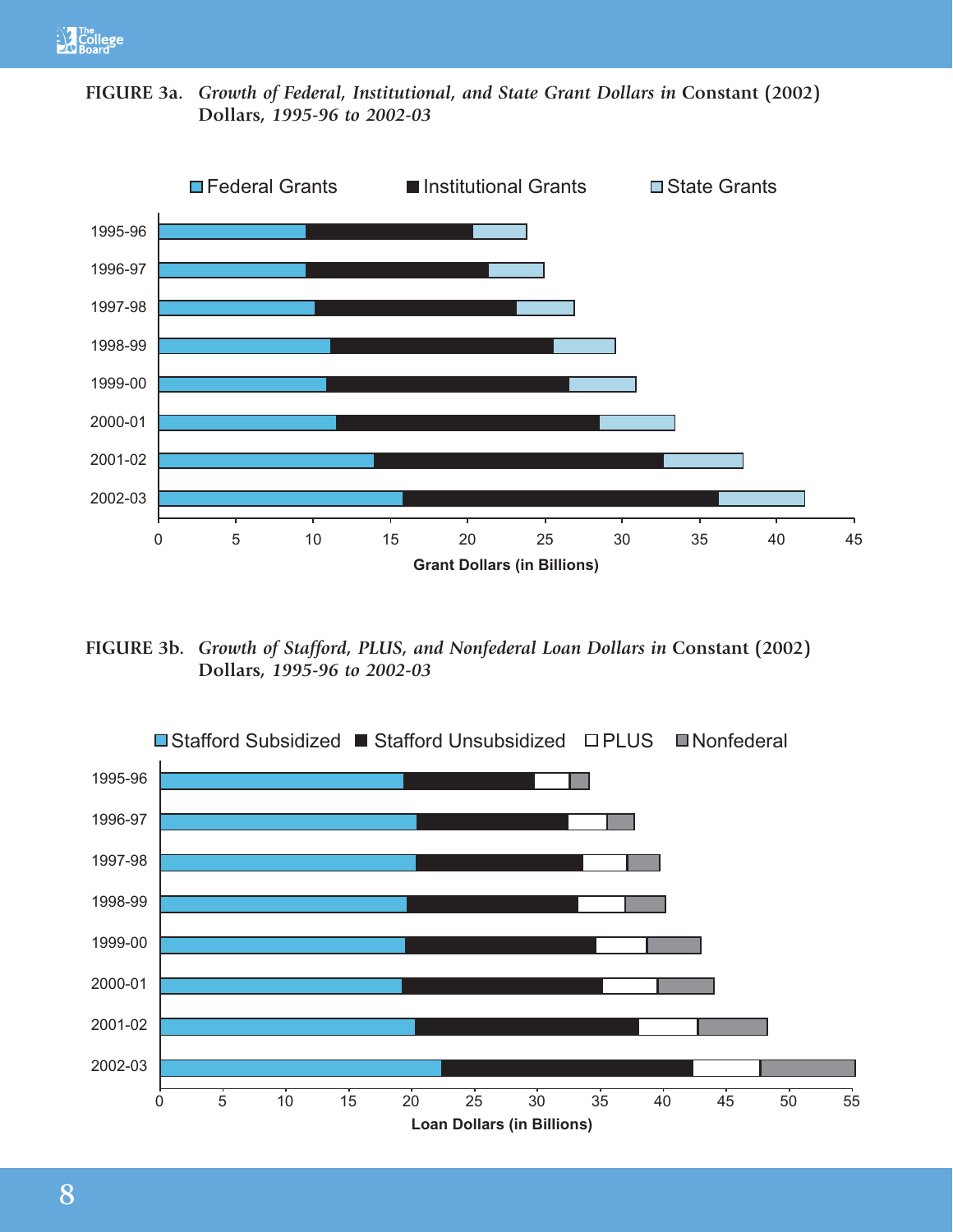

**FIGURE 3a.** *Growth of Federal, Institutional, and State Grant Dollars in* **Constant (2002) Dollars***, 1995-96 to 2002-03*



**FIGURE 3b.** *Growth of Stafford, PLUS, and Nonfederal Loan Dollars in* **Constant (2002) Dollars***, 1995-96 to 2002-03*

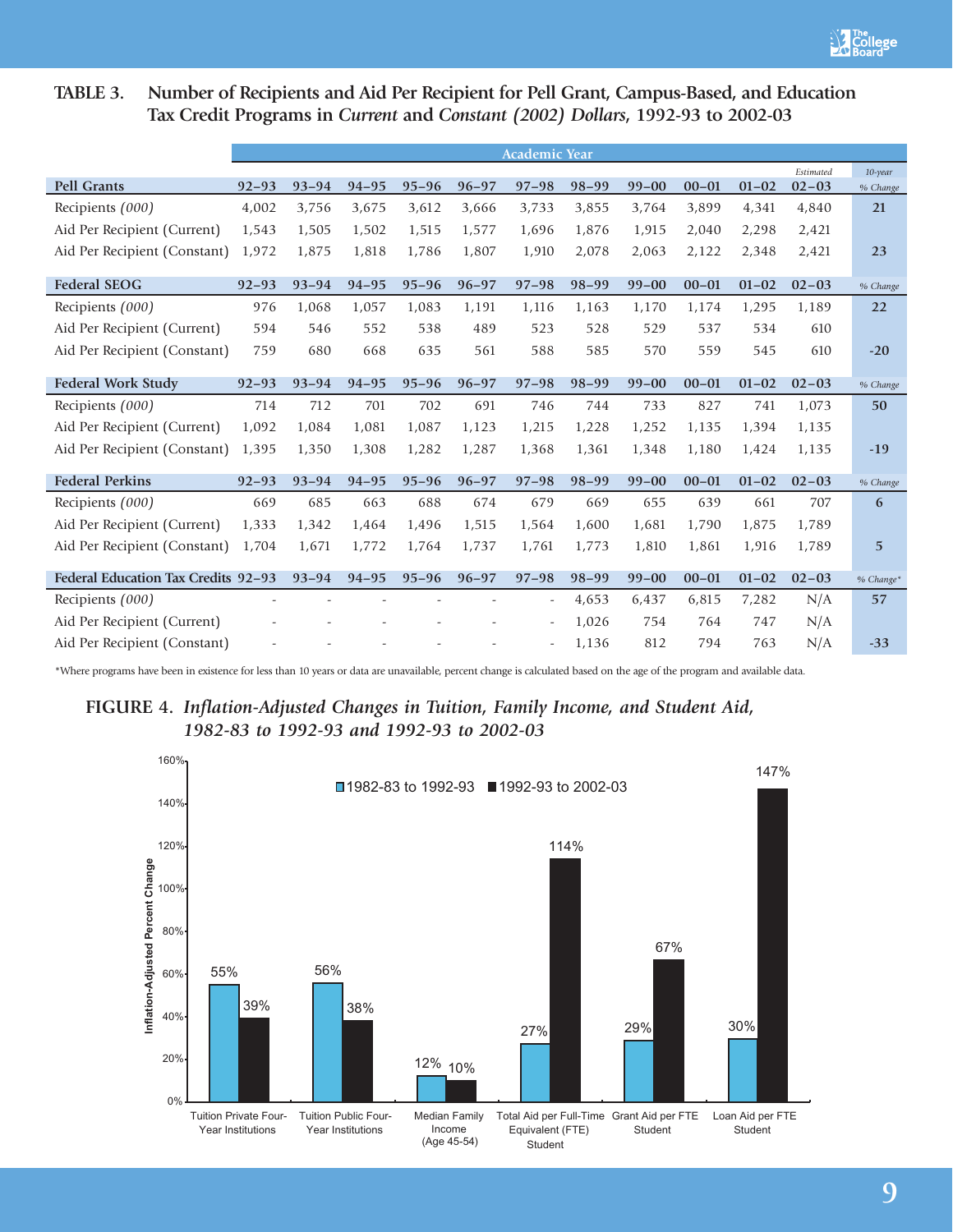# **TABLE 3. Number of Recipients and Aid Per Recipient for Pell Grant, Campus-Based, and Education Tax Credit Programs in** *Current* **and** *Constant (2002) Dollars***, 1992-93 to 2002-03**

|                                     |           |           |           |           |           | <b>Academic Year</b> |           |           |           |           |                        |                        |
|-------------------------------------|-----------|-----------|-----------|-----------|-----------|----------------------|-----------|-----------|-----------|-----------|------------------------|------------------------|
| <b>Pell Grants</b>                  | $92 - 93$ | $93 - 94$ | $94 - 95$ | $95 - 96$ | $96 - 97$ | $97 - 98$            | $98 - 99$ | $99 - 00$ | $00 - 01$ | $01 - 02$ | Estimated<br>$02 - 03$ | $10$ -year<br>% Change |
| Recipients (000)                    | 4,002     | 3,756     | 3,675     | 3,612     | 3,666     | 3,733                | 3,855     | 3,764     | 3,899     | 4,341     | 4,840                  | 21                     |
| Aid Per Recipient (Current)         | 1,543     | 1,505     | 1,502     | 1,515     | 1,577     | 1,696                | 1,876     | 1,915     | 2,040     | 2,298     | 2,421                  |                        |
| Aid Per Recipient (Constant)        | 1,972     | 1,875     | 1,818     | 1,786     | 1,807     | 1,910                | 2,078     | 2,063     | 2,122     | 2,348     | 2,421                  | 23                     |
| <b>Federal SEOG</b>                 | $92 - 93$ | $93 - 94$ | $94 - 95$ | $95 - 96$ | $96 - 97$ | $97 - 98$            | $98 - 99$ | $99 - 00$ | $00 - 01$ | $01 - 02$ | $02 - 03$              | % Change               |
| Recipients (000)                    | 976       | 1,068     | 1,057     | 1,083     | 1,191     | 1,116                | 1,163     | 1,170     | 1,174     | 1,295     | 1,189                  | 22                     |
| Aid Per Recipient (Current)         | 594       | 546       | 552       | 538       | 489       | 523                  | 528       | 529       | 537       | 534       | 610                    |                        |
| Aid Per Recipient (Constant)        | 759       | 680       | 668       | 635       | 561       | 588                  | 585       | 570       | 559       | 545       | 610                    | $-20$                  |
|                                     |           |           |           |           |           |                      |           |           |           |           |                        |                        |
| Federal Work Study                  | $92 - 93$ | $93 - 94$ | $94 - 95$ | $95 - 96$ | $96 - 97$ | $97 - 98$            | $98 - 99$ | $99 - 00$ | $00 - 01$ | $01 - 02$ | $02 - 03$              | % Change               |
| Recipients (000)                    | 714       | 712       | 701       | 702       | 691       | 746                  | 744       | 733       | 827       | 741       | 1,073                  | 50                     |
| Aid Per Recipient (Current)         | 1,092     | 1,084     | 1,081     | 1,087     | 1,123     | 1,215                | 1,228     | 1,252     | 1,135     | 1,394     | 1,135                  |                        |
| Aid Per Recipient (Constant)        | 1,395     | 1,350     | 1,308     | 1,282     | 1,287     | 1,368                | 1,361     | 1,348     | 1,180     | 1,424     | 1,135                  | $-19$                  |
| <b>Federal Perkins</b>              | $92 - 93$ | $93 - 94$ | $94 - 95$ | $95 - 96$ | $96 - 97$ | $97 - 98$            | $98 - 99$ | $99 - 00$ | $00 - 01$ | $01 - 02$ | $02 - 03$              | % Change               |
| Recipients (000)                    | 669       | 685       | 663       | 688       | 674       | 679                  | 669       | 655       | 639       | 661       | 707                    | 6                      |
| Aid Per Recipient (Current)         | 1,333     | 1,342     | 1,464     | 1,496     | 1,515     | 1,564                | 1,600     | 1,681     | 1,790     | 1,875     | 1,789                  |                        |
| Aid Per Recipient (Constant)        | 1,704     | 1,671     | 1,772     | 1,764     | 1,737     | 1,761                | 1,773     | 1,810     | 1,861     | 1,916     | 1,789                  | $5\phantom{.}$         |
| Federal Education Tax Credits 92-93 |           | $93 - 94$ | $94 - 95$ | $95 - 96$ | $96 - 97$ | $97 - 98$            | $98 - 99$ | $99 - 00$ | $00 - 01$ | $01 - 02$ | $02 - 03$              | % Change*              |
| Recipients (000)                    |           |           |           |           |           |                      | 4,653     | 6,437     | 6,815     | 7,282     | N/A                    | 57                     |
| Aid Per Recipient (Current)         |           |           |           |           |           |                      | 1,026     | 754       | 764       | 747       | N/A                    |                        |
| Aid Per Recipient (Constant)        |           |           |           |           |           |                      | 1,136     | 812       | 794       | 763       | N/A                    | $-33$                  |

\*Where programs have been in existence for less than 10 years or data are unavailable, percent change is calculated based on the age of the program and available data.

# **FIGURE 4.** *Inflation-Adjusted Changes in Tuition, Family Income, and Student Aid, 1982-83 to 1992-93 and 1992-93 to 2002-03*

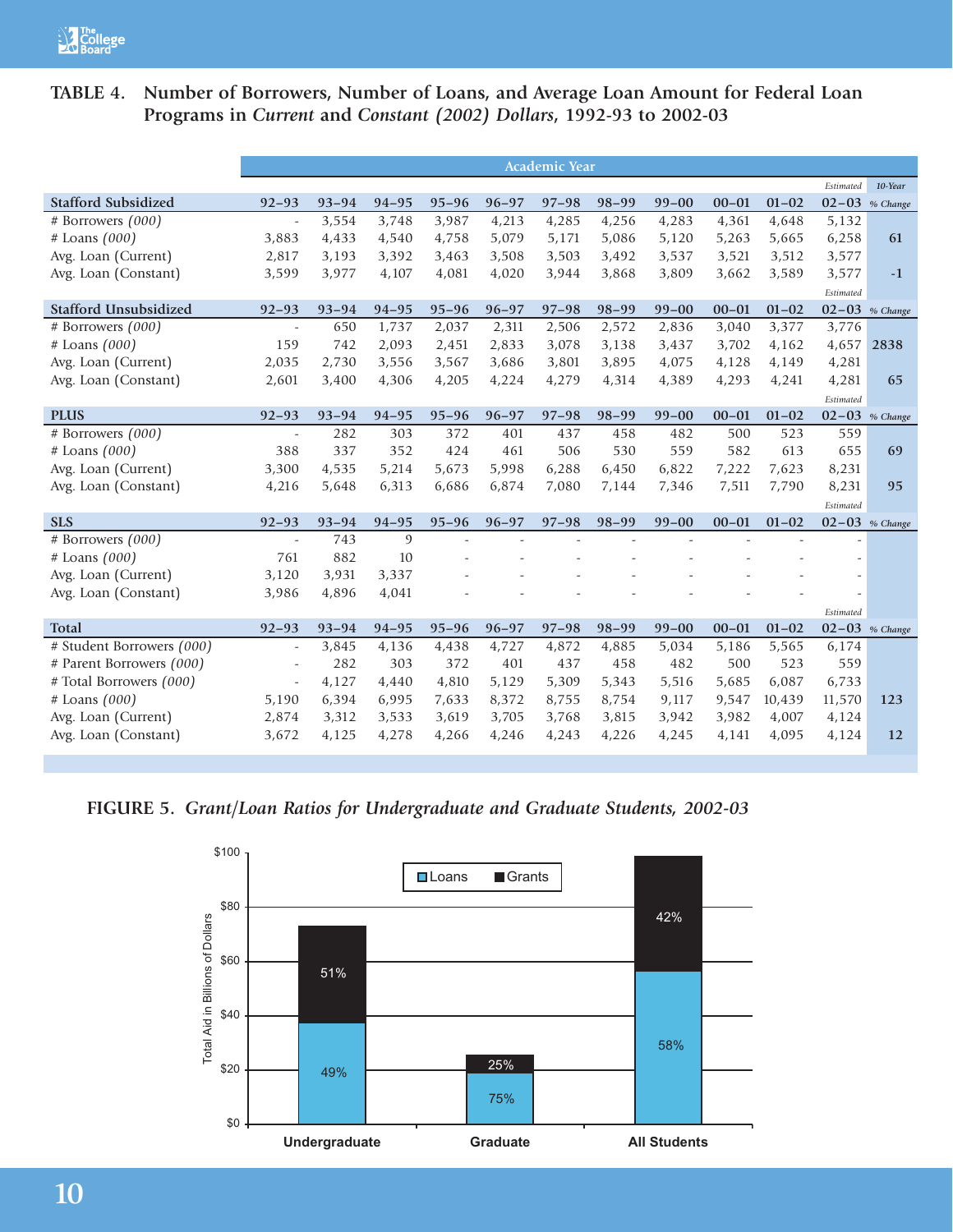# **TABLE 4. Number of Borrowers, Number of Loans, and Average Loan Amount for Federal Loan Programs in** *Current* **and** *Constant (2002) Dollars***, 1992-93 to 2002-03**

|                              |                          |           |                |           |           | <b>Academic Year</b> |           |           |           |                |                    |                    |
|------------------------------|--------------------------|-----------|----------------|-----------|-----------|----------------------|-----------|-----------|-----------|----------------|--------------------|--------------------|
|                              |                          |           |                |           |           |                      |           |           |           |                | Estimated          | 10-Year            |
| <b>Stafford Subsidized</b>   | $92 - 93$                | $93 - 94$ | $94 - 95$      | $95 - 96$ | $96 - 97$ | $97 - 98$            | $98 - 99$ | $99 - 00$ | $00 - 01$ | $01 - 02$      | $02 - 03$          | % Change           |
| # Borrowers (000)            | ÷,                       | 3,554     | 3,748          | 3,987     | 4,213     | 4,285                | 4,256     | 4,283     | 4,361     | 4,648          | 5,132              |                    |
| # Loans (000)                | 3,883                    | 4,433     | 4,540          | 4,758     | 5,079     | 5,171                | 5,086     | 5,120     | 5,263     | 5,665          | 6,258              | 61                 |
| Avg. Loan (Current)          | 2,817                    | 3,193     | 3,392          | 3,463     | 3,508     | 3,503                | 3,492     | 3,537     | 3,521     | 3,512          | 3,577              |                    |
| Avg. Loan (Constant)         | 3,599                    | 3,977     | 4,107          | 4,081     | 4,020     | 3,944                | 3,868     | 3,809     | 3,662     | 3,589          | 3,577              | $-1$               |
|                              |                          |           |                |           |           |                      |           |           |           |                | Estimated          |                    |
| <b>Stafford Unsubsidized</b> | $92 - 93$                | $93 - 94$ | $94 - 95$      | $95 - 96$ | $96 - 97$ | $97 - 98$            | $98 - 99$ | $99 - 00$ | $00 - 01$ | $01 - 02$      | $02 - 03$ % Change |                    |
| # Borrowers $(000)$          | $\overline{a}$           | 650       | 1,737          | 2,037     | 2,311     | 2,506                | 2,572     | 2,836     | 3,040     | 3,377          | 3,776              |                    |
| # Loans (000)                | 159                      | 742       | 2,093          | 2,451     | 2,833     | 3,078                | 3,138     | 3,437     | 3,702     | 4,162          | 4,657              | 2838               |
| Avg. Loan (Current)          | 2,035                    | 2,730     | 3,556          | 3,567     | 3,686     | 3,801                | 3,895     | 4,075     | 4,128     | 4,149          | 4,281              |                    |
| Avg. Loan (Constant)         | 2,601                    | 3,400     | 4,306          | 4,205     | 4,224     | 4,279                | 4,314     | 4,389     | 4,293     | 4,241          | 4,281              | 65                 |
|                              |                          |           |                |           |           |                      |           |           |           |                | Estimated          |                    |
| <b>PLUS</b>                  | $92 - 93$                | $93 - 94$ | $94 - 95$      | $95 - 96$ | $96 - 97$ | $97 - 98$            | $98 - 99$ | $99 - 00$ | $00 - 01$ | $01 - 02$      |                    | $02 - 03$ % Change |
| # Borrowers (000)            | $\sim$                   | 282       | 303            | 372       | 401       | 437                  | 458       | 482       | 500       | 523            | 559                |                    |
| $#$ Loans $(000)$            | 388                      | 337       | 352            | 424       | 461       | 506                  | 530       | 559       | 582       | 613            | 655                | 69                 |
| Avg. Loan (Current)          | 3,300                    | 4,535     | 5,214          | 5,673     | 5,998     | 6,288                | 6,450     | 6,822     | 7,222     | 7,623          | 8,231              |                    |
| Avg. Loan (Constant)         | 4,216                    | 5,648     | 6,313          | 6,686     | 6,874     | 7,080                | 7,144     | 7,346     | 7,511     | 7,790          | 8,231              | 95                 |
|                              |                          |           |                |           |           |                      |           |           |           |                | Estimated          |                    |
| <b>SLS</b>                   | $92 - 93$                | $93 - 94$ | $94 - 95$      | $95 - 96$ | $96 - 97$ | $97 - 98$            | $98 - 99$ | $99 - 00$ | $00 - 01$ | $01 - 02$      | $02 - 03$ % Change |                    |
| # Borrowers (000)            | $\overline{a}$           | 743       | $\overline{9}$ |           |           |                      | ÷         | ÷.        |           | $\overline{a}$ |                    |                    |
| $#$ Loans $(000)$            | 761                      | 882       | 10             |           |           |                      |           |           |           |                |                    |                    |
| Avg. Loan (Current)          | 3,120                    | 3,931     | 3,337          |           |           |                      |           |           |           |                |                    |                    |
| Avg. Loan (Constant)         | 3,986                    | 4,896     | 4,041          |           |           |                      |           |           |           |                |                    |                    |
|                              |                          |           |                |           |           |                      |           |           |           |                | Estimated          |                    |
| <b>Total</b>                 | $92 - 93$                | $93 - 94$ | $94 - 95$      | $95 - 96$ | $96 - 97$ | $97 - 98$            | $98 - 99$ | $99 - 00$ | $00 - 01$ | $01 - 02$      | $02 - 03$ % Change |                    |
| # Student Borrowers (000)    | $\overline{\phantom{a}}$ | 3,845     | 4,136          | 4,438     | 4,727     | 4,872                | 4,885     | 5,034     | 5,186     | 5,565          | 6,174              |                    |
| # Parent Borrowers (000)     | ÷,                       | 282       | 303            | 372       | 401       | 437                  | 458       | 482       | 500       | 523            | 559                |                    |
| # Total Borrowers (000)      | ÷,                       | 4,127     | 4,440          | 4,810     | 5,129     | 5,309                | 5,343     | 5,516     | 5,685     | 6,087          | 6,733              |                    |
| # Loans (000)                | 5,190                    | 6,394     | 6,995          | 7,633     | 8,372     | 8,755                | 8,754     | 9,117     | 9,547     | 10,439         | 11,570             | 123                |
| Avg. Loan (Current)          | 2,874                    | 3,312     | 3,533          | 3,619     | 3,705     | 3,768                | 3,815     | 3,942     | 3,982     | 4,007          | 4,124              |                    |
| Avg. Loan (Constant)         | 3,672                    | 4,125     | 4,278          | 4,266     | 4,246     | 4,243                | 4,226     | 4,245     | 4,141     | 4,095          | 4,124              | 12                 |
|                              |                          |           |                |           |           |                      |           |           |           |                |                    |                    |

**FIGURE 5.** *Grant/Loan Ratios for Undergraduate and Graduate Students, 2002-03*

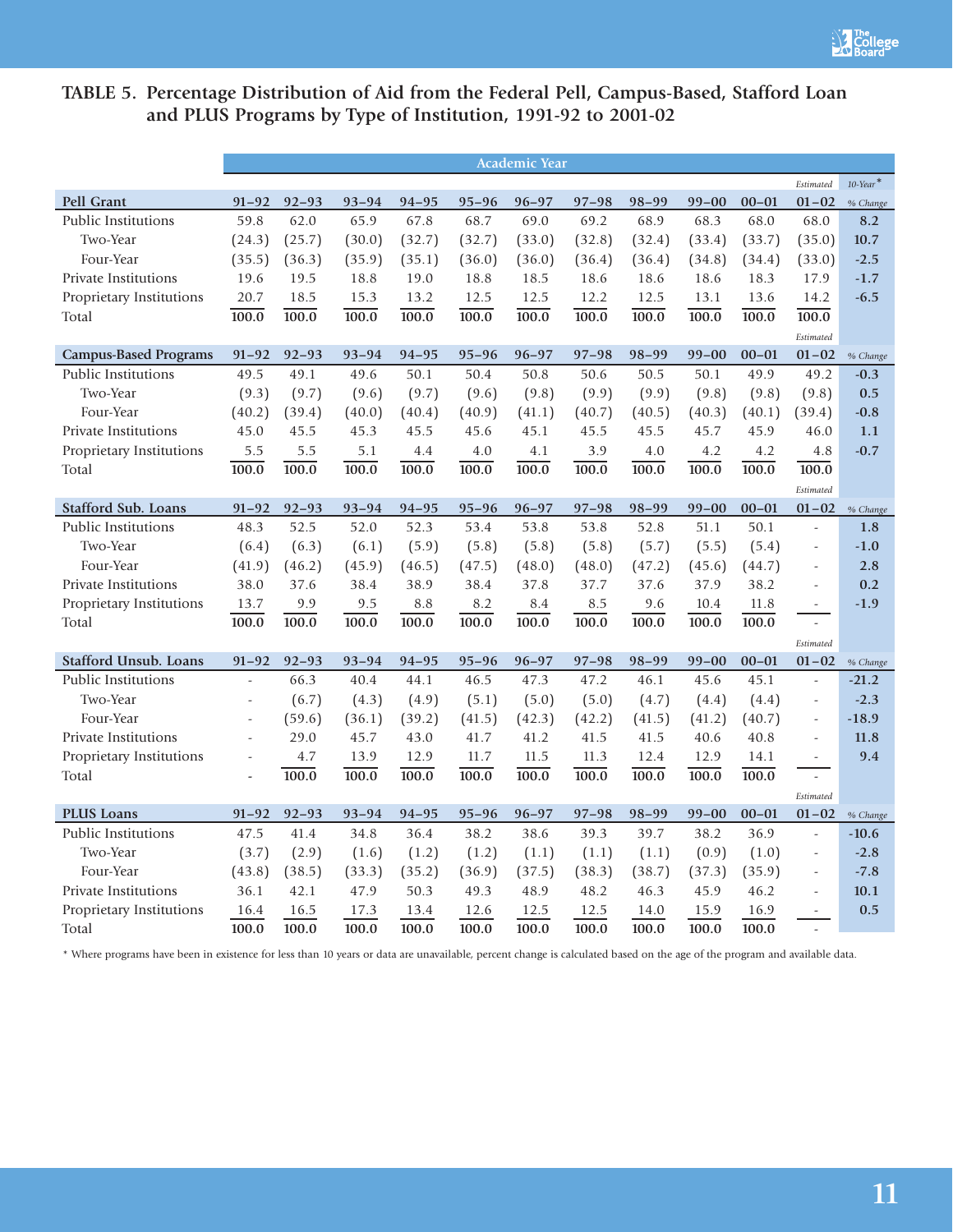# **TABLE 5. Percentage Distribution of Aid from the Federal Pell, Campus-Based, Stafford Loan and PLUS Programs by Type of Institution, 1991-92 to 2001-02**

|                              |                          |           |           |           |           | <b>Academic Year</b> |           |           |           |           |                          |                         |
|------------------------------|--------------------------|-----------|-----------|-----------|-----------|----------------------|-----------|-----------|-----------|-----------|--------------------------|-------------------------|
|                              |                          |           |           |           |           |                      |           |           |           |           | Estimated                | $10$ -Year <sup>*</sup> |
| <b>Pell Grant</b>            | $91 - 92$                | $92 - 93$ | $93 - 94$ | $94 - 95$ | $95 - 96$ | $96 - 97$            | $97 - 98$ | $98 - 99$ | $99 - 00$ | $00 - 01$ | $01 - 02$                | % Change                |
| Public Institutions          | 59.8                     | 62.0      | 65.9      | 67.8      | 68.7      | 69.0                 | 69.2      | 68.9      | 68.3      | 68.0      | 68.0                     | 8.2                     |
| Two-Year                     | (24.3)                   | (25.7)    | (30.0)    | (32.7)    | (32.7)    | (33.0)               | (32.8)    | (32.4)    | (33.4)    | (33.7)    | (35.0)                   | 10.7                    |
| Four-Year                    | (35.5)                   | (36.3)    | (35.9)    | (35.1)    | (36.0)    | (36.0)               | (36.4)    | (36.4)    | (34.8)    | (34.4)    | (33.0)                   | $-2.5$                  |
| Private Institutions         | 19.6                     | 19.5      | 18.8      | 19.0      | 18.8      | 18.5                 | 18.6      | 18.6      | 18.6      | 18.3      | 17.9                     | $-1.7$                  |
| Proprietary Institutions     | 20.7                     | 18.5      | 15.3      | 13.2      | 12.5      | 12.5                 | 12.2      | 12.5      | 13.1      | 13.6      | 14.2                     | $-6.5$                  |
| Total                        | 100.0                    | 100.0     | 100.0     | 100.0     | 100.0     | 100.0                | 100.0     | 100.0     | 100.0     | 100.0     | 100.0                    |                         |
|                              |                          |           |           |           |           |                      |           |           |           |           | Estimated                |                         |
| <b>Campus-Based Programs</b> | $91 - 92$                | $92 - 93$ | $93 - 94$ | $94 - 95$ | $95 - 96$ | $96 - 97$            | $97 - 98$ | $98 - 99$ | $99 - 00$ | $00 - 01$ | $01 - 02$                | % Change                |
| Public Institutions          | 49.5                     | 49.1      | 49.6      | 50.1      | 50.4      | 50.8                 | 50.6      | 50.5      | 50.1      | 49.9      | 49.2                     | $-0.3$                  |
| Two-Year                     | (9.3)                    | (9.7)     | (9.6)     | (9.7)     | (9.6)     | (9.8)                | (9.9)     | (9.9)     | (9.8)     | (9.8)     | (9.8)                    | 0.5                     |
| Four-Year                    | (40.2)                   | (39.4)    | (40.0)    | (40.4)    | (40.9)    | (41.1)               | (40.7)    | (40.5)    | (40.3)    | (40.1)    | (39.4)                   | $-0.8$                  |
| Private Institutions         | 45.0                     | 45.5      | 45.3      | 45.5      | 45.6      | 45.1                 | 45.5      | 45.5      | 45.7      | 45.9      | 46.0                     | 1.1                     |
| Proprietary Institutions     | 5.5                      | 5.5       | 5.1       | 4.4       | 4.0       | 4.1                  | 3.9       | 4.0       | 4.2       | 4.2       | 4.8                      | $-0.7$                  |
| Total                        | 100.0                    | 100.0     | 100.0     | 100.0     | 100.0     | 100.0                | 100.0     | 100.0     | 100.0     | 100.0     | $\overline{100.0}$       |                         |
|                              |                          |           |           |           |           |                      |           |           |           |           | Estimated                |                         |
| Stafford Sub. Loans          | $91 - 92$                | $92 - 93$ | $93 - 94$ | $94 - 95$ | $95 - 96$ | $96 - 97$            | $97 - 98$ | $98 - 99$ | $99 - 00$ | $00 - 01$ | $01 - 02$                | % Change                |
| <b>Public Institutions</b>   | 48.3                     | 52.5      | 52.0      | 52.3      | 53.4      | 53.8                 | 53.8      | 52.8      | 51.1      | 50.1      | $\overline{a}$           | 1.8                     |
| Two-Year                     | (6.4)                    | (6.3)     | (6.1)     | (5.9)     | (5.8)     | (5.8)                | (5.8)     | (5.7)     | (5.5)     | (5.4)     | $\overline{\phantom{a}}$ | $-1.0$                  |
| Four-Year                    | (41.9)                   | (46.2)    | (45.9)    | (46.5)    | (47.5)    | (48.0)               | (48.0)    | (47.2)    | (45.6)    | (44.7)    | $\overline{\phantom{a}}$ | 2.8                     |
| Private Institutions         | 38.0                     | 37.6      | 38.4      | 38.9      | 38.4      | 37.8                 | 37.7      | 37.6      | 37.9      | 38.2      | $\overline{a}$           | 0.2                     |
| Proprietary Institutions     | 13.7                     | 9.9       | 9.5       | 8.8       | 8.2       | 8.4                  | 8.5       | 9.6       | 10.4      | 11.8      | $\overline{\phantom{a}}$ | $-1.9$                  |
| Total                        | 100.0                    | 100.0     | 100.0     | 100.0     | 100.0     | 100.0                | 100.0     | 100.0     | 100.0     | 100.0     | $\sim$                   |                         |
|                              |                          |           |           |           |           |                      |           |           |           |           | Estimated                |                         |
| <b>Stafford Unsub. Loans</b> | $91 - 92$                | $92 - 93$ | $93 - 94$ | $94 - 95$ | $95 - 96$ | $96 - 97$            | $97 - 98$ | 98-99     | $99 - 00$ | $00 - 01$ | $01 - 02$                | % Change                |
| Public Institutions          | $\sim$                   | 66.3      | 40.4      | 44.1      | 46.5      | 47.3                 | 47.2      | 46.1      | 45.6      | 45.1      | $\bar{a}$                | $-21.2$                 |
| Two-Year                     | $\overline{\phantom{a}}$ | (6.7)     | (4.3)     | (4.9)     | (5.1)     | (5.0)                | (5.0)     | (4.7)     | (4.4)     | (4.4)     | $\overline{\phantom{a}}$ | $-2.3$                  |
| Four-Year                    | $\overline{\phantom{a}}$ | (59.6)    | (36.1)    | (39.2)    | (41.5)    | (42.3)               | (42.2)    | (41.5)    | (41.2)    | (40.7)    | $\overline{\phantom{a}}$ | $-18.9$                 |
| <b>Private Institutions</b>  | $\overline{\phantom{a}}$ | 29.0      | 45.7      | 43.0      | 41.7      | 41.2                 | 41.5      | 41.5      | 40.6      | 40.8      |                          | 11.8                    |
| Proprietary Institutions     | $\Box$                   | 4.7       | 13.9      | 12.9      | 11.7      | 11.5                 | 11.3      | 12.4      | 12.9      | 14.1      | $\overline{a}$           | 9.4                     |
| Total                        | $\overline{a}$           | 100.0     | 100.0     | 100.0     | 100.0     | 100.0                | 100.0     | 100.0     | 100.0     | 100.0     | $\omega$                 |                         |
|                              |                          |           |           |           |           |                      |           |           |           |           | Estimated                |                         |
| <b>PLUS Loans</b>            | $91 - 92$                | $92 - 93$ | $93 - 94$ | $94 - 95$ | $95 - 96$ | $96 - 97$            | $97 - 98$ | $98 - 99$ | $99 - 00$ | $00 - 01$ | $01 - 02$                | % Change                |
| <b>Public Institutions</b>   | 47.5                     | 41.4      | 34.8      | 36.4      | 38.2      | 38.6                 | 39.3      | 39.7      | 38.2      | 36.9      | $\bar{a}$                | $-10.6$                 |
| Two-Year                     | (3.7)                    | (2.9)     | (1.6)     | (1.2)     | (1.2)     | (1.1)                | (1.1)     | (1.1)     | (0.9)     | (1.0)     | $\bar{\phantom{a}}$      | $-2.8$                  |
| Four-Year                    | (43.8)                   | (38.5)    | (33.3)    | (35.2)    | (36.9)    | (37.5)               | (38.3)    | (38.7)    | (37.3)    | (35.9)    | $\overline{\phantom{a}}$ | $-7.8$                  |
| Private Institutions         | 36.1                     | 42.1      | 47.9      | 50.3      | 49.3      | 48.9                 | 48.2      | 46.3      | 45.9      | 46.2      | $\overline{\phantom{a}}$ | 10.1                    |
| Proprietary Institutions     | 16.4                     | 16.5      | 17.3      | 13.4      | 12.6      | 12.5                 | 12.5      | 14.0      | 15.9      | 16.9      | $\overline{\phantom{a}}$ | 0.5                     |
| Total                        | 100.0                    | 100.0     | 100.0     | 100.0     | 100.0     | 100.0                | 100.0     | 100.0     | 100.0     | 100.0     | $\sim$                   |                         |

\* Where programs have been in existence for less than 10 years or data are unavailable, percent change is calculated based on the age of the program and available data.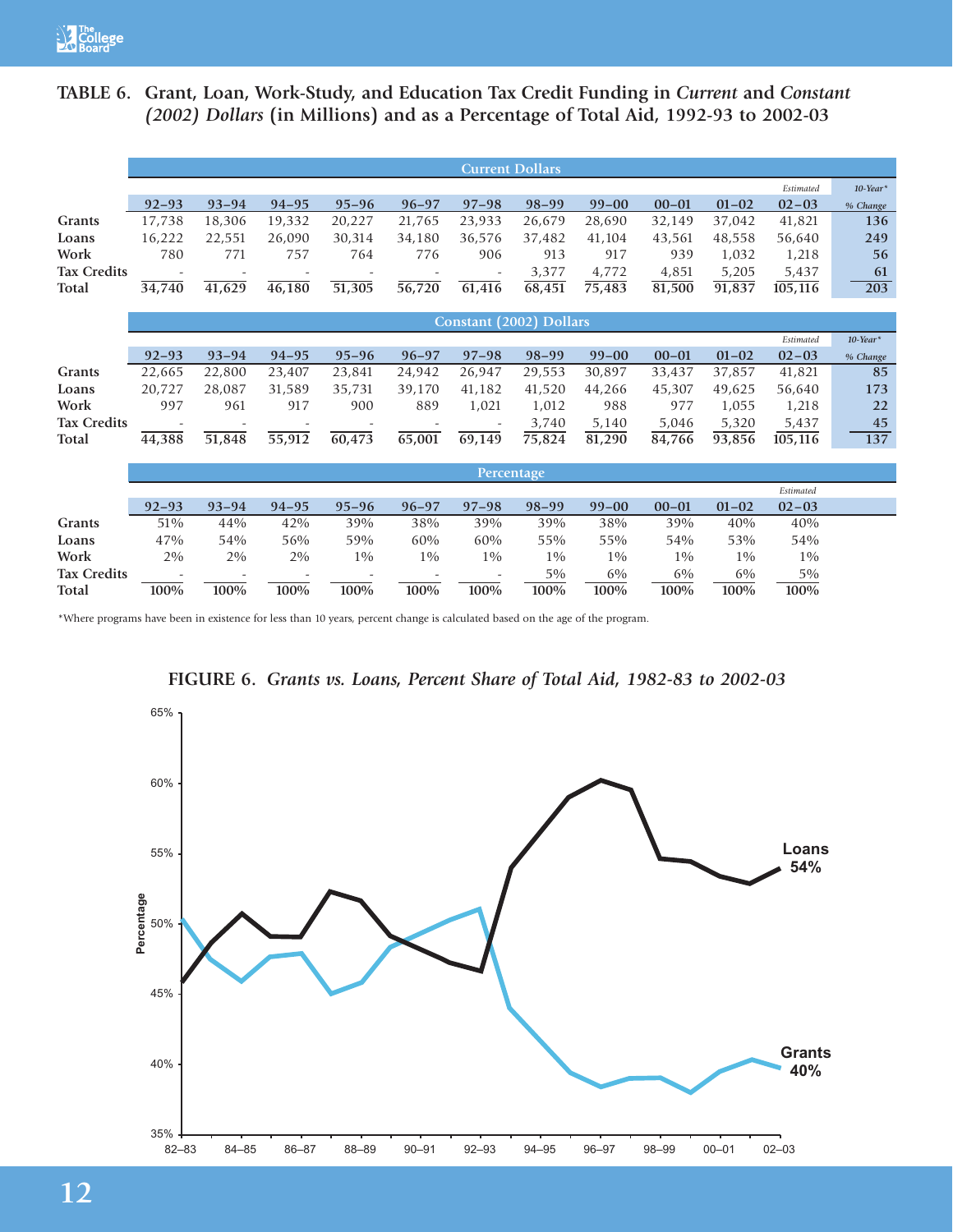# **TABLE 6. Grant, Loan, Work-Study, and Education Tax Credit Funding in** *Current* **and** *Constant (2002) Dollars* **(in Millions) and as a Percentage of Total Aid, 1992-93 to 2002-03**

|                    |                          |                          |                     |                     |           | <b>Current Dollars</b>         |           |           |           |           |           |                    |
|--------------------|--------------------------|--------------------------|---------------------|---------------------|-----------|--------------------------------|-----------|-----------|-----------|-----------|-----------|--------------------|
|                    |                          |                          |                     |                     |           |                                |           |           |           |           | Estimated | $10$ -Year*        |
|                    | $92 - 93$                | $93 - 94$                | $94 - 95$           | $95 - 96$           | $96 - 97$ | $97 - 98$                      | $98 - 99$ | $99 - 00$ | $00 - 01$ | $01 - 02$ | $02 - 03$ | % Change           |
| <b>Grants</b>      | 17,738                   | 18,306                   | 19,332              | 20,227              | 21,765    | 23,933                         | 26,679    | 28,690    | 32,149    | 37,042    | 41,821    | 136                |
| Loans              | 16,222                   | 22,551                   | 26,090              | 30,314              | 34,180    | 36,576                         | 37,482    | 41,104    | 43,561    | 48,558    | 56,640    | 249                |
| Work               | 780                      | 771                      | 757                 | 764                 | 776       | 906                            | 913       | 917       | 939       | 1,032     | 1,218     | 56                 |
| <b>Tax Credits</b> | $\overline{\phantom{a}}$ | $\overline{\phantom{a}}$ |                     |                     |           | $\overline{\phantom{a}}$       | 3,377     | 4,772     | 4,851     | 5,205     | 5,437     | 61                 |
| Total              | 34,740                   | 41,629                   | $\frac{46,180}{9}$  | $\overline{51,305}$ | 56,720    | 61,416                         | 68,451    | 75,483    | 81,500    | 91,837    | 105,116   | 203                |
|                    |                          |                          |                     |                     |           |                                |           |           |           |           |           |                    |
|                    |                          |                          |                     |                     |           | <b>Constant (2002) Dollars</b> |           |           |           |           |           |                    |
|                    |                          |                          |                     |                     |           |                                |           |           |           |           | Estimated | $10$ -Year $^\ast$ |
|                    | $92 - 93$                | $93 - 94$                | $94 - 95$           | $95 - 96$           | $96 - 97$ | $97 - 98$                      | $98 - 99$ | $99 - 00$ | $00 - 01$ | $01 - 02$ | $02 - 03$ | % Change           |
| Grants             | 22,665                   | 22,800                   | 23,407              | 23,841              | 24,942    | 26,947                         | 29,553    | 30,897    | 33,437    | 37,857    | 41,821    | 85                 |
| Loans              | 20,727                   | 28,087                   | 31,589              | 35,731              | 39,170    | 41,182                         | 41,520    | 44,266    | 45,307    | 49,625    | 56,640    | 173                |
| Work               | 997                      | 961                      | 917                 | 900                 | 889       | 1,021                          | 1,012     | 988       | 977       | 1,055     | 1,218     | 22                 |
| <b>Tax Credits</b> |                          |                          |                     |                     |           |                                | 3,740     | 5,140     | 5,046     | 5,320     | 5,437     | 45                 |
| Total              | 44,388                   | 51,848                   | $\overline{55,912}$ | 60,473              | 65,001    | 69,149                         | 75,824    | 81,290    | 84,766    | 93,856    | 105,116   | 137                |
|                    |                          |                          |                     |                     |           |                                |           |           |           |           |           |                    |
|                    |                          |                          |                     |                     |           | Percentage                     |           |           |           |           |           |                    |
|                    |                          |                          |                     |                     |           |                                |           |           |           |           | Estimated |                    |
|                    | $92 - 93$                | $93 - 94$                | $94 - 95$           | $95 - 96$           | $96 - 97$ | $97 - 98$                      | $98 - 99$ | $99 - 00$ | $00 - 01$ | $01 - 02$ | $02 - 03$ |                    |
| Grants             | 51%                      | 44%                      | 42%                 | 39%                 | 38%       | 39%                            | 39%       | 38%       | 39%       | 40%       | 40%       |                    |
| Loans              | 47%                      | 54%                      | 56%                 | 59%                 | 60%       | 60%                            | 55%       | 55%       | 54%       | 53%       | 54%       |                    |
| Work               | 2%                       | 2%                       | 2%                  | $1\%$               | $1\%$     | $1\%$                          | $1\%$     | $1\%$     | $1\%$     | $1\%$     | $1\%$     |                    |
| <b>Tax Credits</b> |                          |                          |                     |                     |           | $\overline{\phantom{a}}$       | $5\%$     | 6%        | 6%        | 6%        | $5\%$     |                    |

\*Where programs have been in existence for less than 10 years, percent change is calculated based on the age of the program.



**FIGURE 6.** *Grants vs. Loans, Percent Share of Total Aid, 1982-83 to 2002-03*

**Total 100% 100% 100% 100% 100% 100% 100% 100% 100% 100% 100%**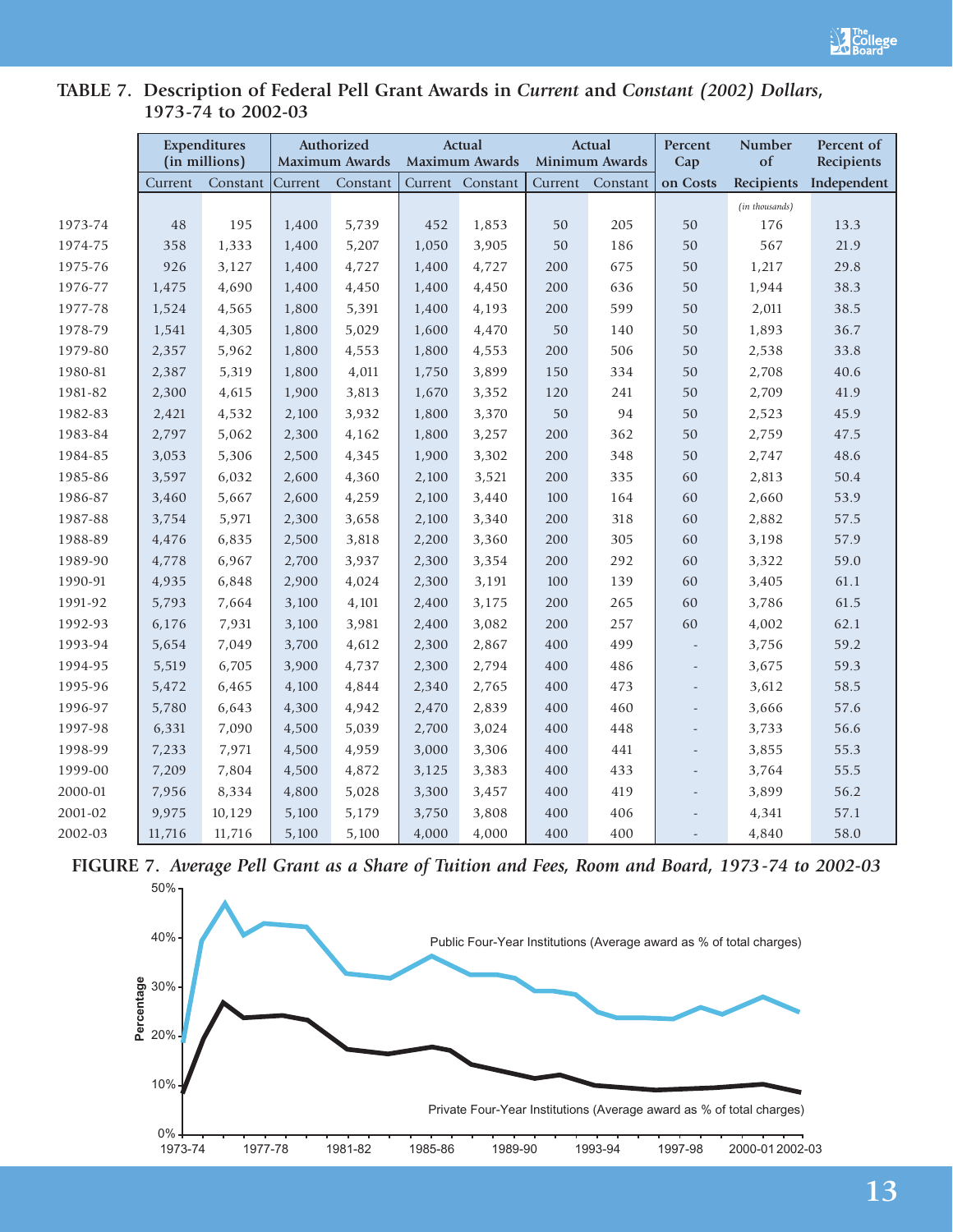

# **TABLE 7. Description of Federal Pell Grant Awards in** *Current* **and** *Constant (2002) Dollars***, 1973-74 to 2002-03**

|         |         | <b>Expenditures</b> |         | Authorized            |       | <b>Actual</b>    |         | <b>Actual</b>  | Percent                  | <b>Number</b>  | Percent of  |
|---------|---------|---------------------|---------|-----------------------|-------|------------------|---------|----------------|--------------------------|----------------|-------------|
|         |         | (in millions)       |         | <b>Maximum Awards</b> |       | Maximum Awards   |         | Minimum Awards | Cap                      | of             | Recipients  |
|         | Current | Constant            | Current | Constant              |       | Current Constant | Current | Constant       | on Costs                 | Recipients     | Independent |
|         |         |                     |         |                       |       |                  |         |                |                          | (in thousands) |             |
| 1973-74 | 48      | 195                 | 1,400   | 5,739                 | 452   | 1,853            | 50      | 205            | 50                       | 176            | 13.3        |
| 1974-75 | 358     | 1,333               | 1,400   | 5,207                 | 1,050 | 3,905            | 50      | 186            | 50                       | 567            | 21.9        |
| 1975-76 | 926     | 3,127               | 1,400   | 4,727                 | 1,400 | 4,727            | 200     | 675            | 50                       | 1,217          | 29.8        |
| 1976-77 | 1,475   | 4,690               | 1,400   | 4,450                 | 1,400 | 4,450            | 200     | 636            | 50                       | 1,944          | 38.3        |
| 1977-78 | 1,524   | 4,565               | 1,800   | 5,391                 | 1,400 | 4,193            | 200     | 599            | 50                       | 2,011          | 38.5        |
| 1978-79 | 1,541   | 4,305               | 1,800   | 5,029                 | 1,600 | 4,470            | 50      | 140            | 50                       | 1,893          | 36.7        |
| 1979-80 | 2,357   | 5,962               | 1,800   | 4,553                 | 1,800 | 4,553            | 200     | 506            | 50                       | 2,538          | 33.8        |
| 1980-81 | 2,387   | 5,319               | 1,800   | 4,011                 | 1,750 | 3,899            | 150     | 334            | 50                       | 2,708          | 40.6        |
| 1981-82 | 2,300   | 4,615               | 1,900   | 3,813                 | 1,670 | 3,352            | 120     | 241            | 50                       | 2,709          | 41.9        |
| 1982-83 | 2,421   | 4,532               | 2,100   | 3,932                 | 1,800 | 3,370            | 50      | 94             | 50                       | 2,523          | 45.9        |
| 1983-84 | 2,797   | 5,062               | 2,300   | 4,162                 | 1,800 | 3,257            | 200     | 362            | 50                       | 2,759          | 47.5        |
| 1984-85 | 3,053   | 5,306               | 2,500   | 4,345                 | 1,900 | 3,302            | 200     | 348            | 50                       | 2,747          | 48.6        |
| 1985-86 | 3,597   | 6,032               | 2,600   | 4,360                 | 2,100 | 3,521            | 200     | 335            | 60                       | 2,813          | 50.4        |
| 1986-87 | 3,460   | 5,667               | 2,600   | 4,259                 | 2,100 | 3,440            | 100     | 164            | 60                       | 2,660          | 53.9        |
| 1987-88 | 3,754   | 5,971               | 2,300   | 3,658                 | 2,100 | 3,340            | 200     | 318            | 60                       | 2,882          | 57.5        |
| 1988-89 | 4,476   | 6,835               | 2,500   | 3,818                 | 2,200 | 3,360            | 200     | 305            | 60                       | 3,198          | 57.9        |
| 1989-90 | 4,778   | 6,967               | 2,700   | 3,937                 | 2,300 | 3,354            | 200     | 292            | 60                       | 3,322          | 59.0        |
| 1990-91 | 4,935   | 6,848               | 2,900   | 4,024                 | 2,300 | 3,191            | 100     | 139            | 60                       | 3,405          | 61.1        |
| 1991-92 | 5,793   | 7,664               | 3,100   | 4,101                 | 2,400 | 3,175            | 200     | 265            | 60                       | 3,786          | 61.5        |
| 1992-93 | 6,176   | 7,931               | 3,100   | 3,981                 | 2,400 | 3,082            | 200     | 257            | 60                       | 4,002          | 62.1        |
| 1993-94 | 5,654   | 7,049               | 3,700   | 4,612                 | 2,300 | 2,867            | 400     | 499            | $\overline{\phantom{a}}$ | 3,756          | 59.2        |
| 1994-95 | 5,519   | 6,705               | 3,900   | 4,737                 | 2,300 | 2,794            | 400     | 486            | $\overline{\phantom{a}}$ | 3,675          | 59.3        |
| 1995-96 | 5,472   | 6,465               | 4,100   | 4,844                 | 2,340 | 2,765            | 400     | 473            | $\overline{a}$           | 3,612          | 58.5        |
| 1996-97 | 5,780   | 6,643               | 4,300   | 4,942                 | 2,470 | 2,839            | 400     | 460            | $\overline{\phantom{a}}$ | 3,666          | 57.6        |
| 1997-98 | 6,331   | 7,090               | 4,500   | 5,039                 | 2,700 | 3,024            | 400     | 448            | $\overline{\phantom{a}}$ | 3,733          | 56.6        |
| 1998-99 | 7,233   | 7,971               | 4,500   | 4,959                 | 3,000 | 3,306            | 400     | 441            | $\overline{\phantom{a}}$ | 3,855          | 55.3        |
| 1999-00 | 7,209   | 7,804               | 4,500   | 4,872                 | 3,125 | 3,383            | 400     | 433            | $\overline{\phantom{a}}$ | 3,764          | 55.5        |
| 2000-01 | 7,956   | 8,334               | 4,800   | 5,028                 | 3,300 | 3,457            | 400     | 419            |                          | 3,899          | 56.2        |
| 2001-02 | 9,975   | 10,129              | 5,100   | 5,179                 | 3,750 | 3,808            | 400     | 406            |                          | 4,341          | 57.1        |
| 2002-03 | 11,716  | 11,716              | 5,100   | 5,100                 | 4,000 | 4,000            | 400     | 400            | $\overline{\phantom{a}}$ | 4,840          | 58.0        |

**FIGURE 7.** *Average Pell Grant as a Share of Tuition and Fees, Room and Board, 1973-74 to 2002-03*

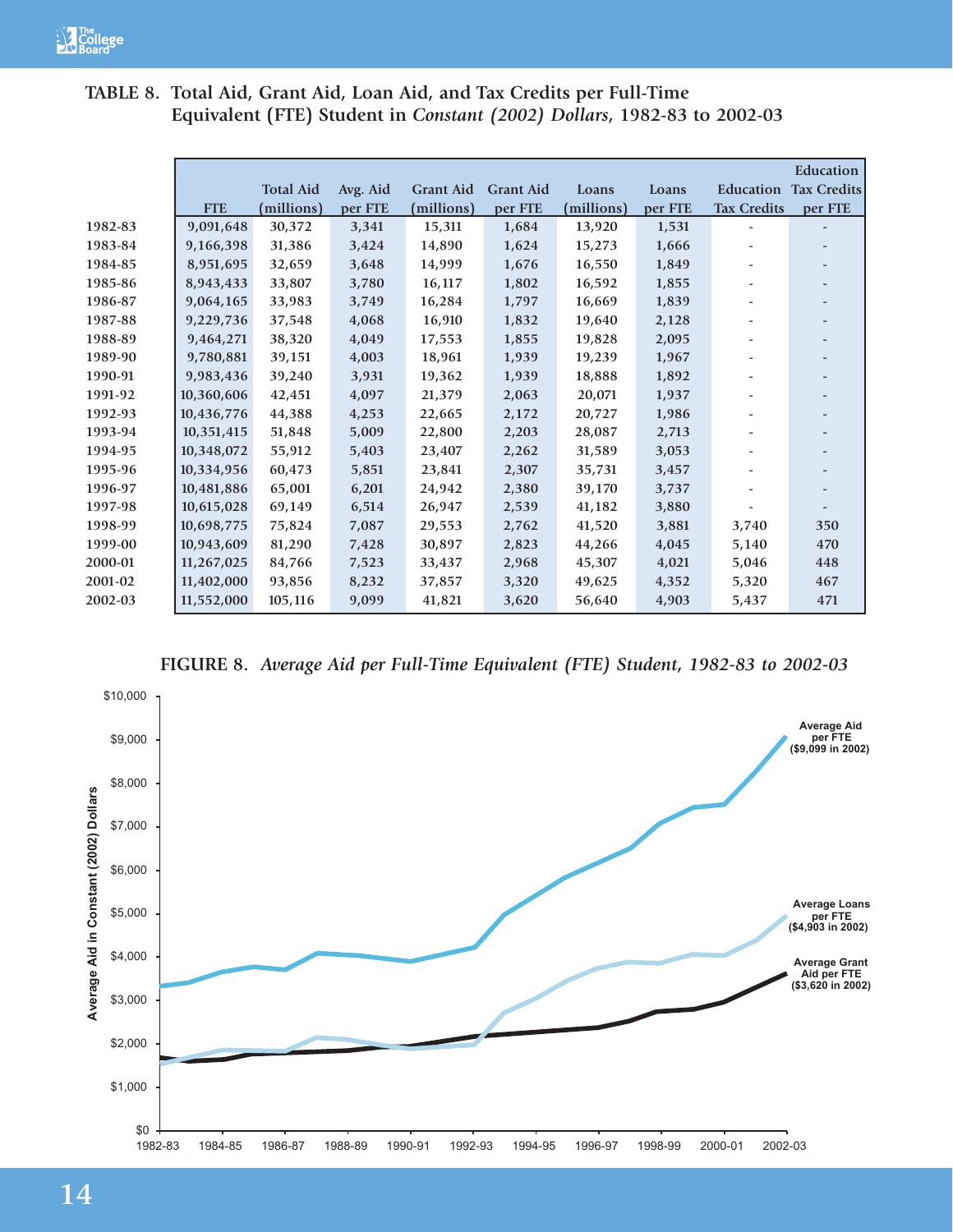|         |            |                  |          |                  |                  |            |         |                    | <b>Education</b>   |
|---------|------------|------------------|----------|------------------|------------------|------------|---------|--------------------|--------------------|
|         |            | <b>Total Aid</b> | Avg. Aid | <b>Grant Aid</b> | <b>Grant Aid</b> | Loans      | Loans   | Education          | <b>Tax Credits</b> |
|         | <b>FTE</b> | (millions)       | per FTE  | (millions)       | per FTE          | (millions) | per FTE | <b>Tax Credits</b> | per FTE            |
| 1982-83 | 9,091,648  | 30,372           | 3,341    | 15,311           | 1,684            | 13,920     | 1,531   |                    |                    |
| 1983-84 | 9,166,398  | 31,386           | 3,424    | 14,890           | 1,624            | 15,273     | 1,666   |                    |                    |
| 1984-85 | 8,951,695  | 32,659           | 3,648    | 14,999           | 1,676            | 16,550     | 1,849   |                    |                    |
| 1985-86 | 8,943,433  | 33,807           | 3,780    | 16,117           | 1,802            | 16,592     | 1,855   |                    |                    |
| 1986-87 | 9,064,165  | 33,983           | 3,749    | 16,284           | 1,797            | 16,669     | 1,839   |                    |                    |
| 1987-88 | 9,229,736  | 37,548           | 4,068    | 16,910           | 1,832            | 19,640     | 2,128   |                    |                    |
| 1988-89 | 9,464,271  | 38,320           | 4,049    | 17,553           | 1,855            | 19,828     | 2,095   |                    |                    |
| 1989-90 | 9,780,881  | 39,151           | 4,003    | 18,961           | 1,939            | 19,239     | 1,967   |                    |                    |
| 1990-91 | 9,983,436  | 39,240           | 3,931    | 19,362           | 1,939            | 18,888     | 1,892   |                    |                    |
| 1991-92 | 10,360,606 | 42,451           | 4,097    | 21,379           | 2,063            | 20,071     | 1,937   |                    |                    |
| 1992-93 | 10,436,776 | 44,388           | 4,253    | 22,665           | 2,172            | 20,727     | 1,986   |                    |                    |
| 1993-94 | 10,351,415 | 51,848           | 5,009    | 22,800           | 2,203            | 28,087     | 2,713   |                    |                    |
| 1994-95 | 10,348,072 | 55,912           | 5,403    | 23,407           | 2,262            | 31,589     | 3,053   |                    |                    |
| 1995-96 | 10,334,956 | 60,473           | 5,851    | 23,841           | 2,307            | 35,731     | 3,457   |                    |                    |
| 1996-97 | 10,481,886 | 65,001           | 6,201    | 24,942           | 2,380            | 39,170     | 3,737   |                    |                    |
| 1997-98 | 10,615,028 | 69,149           | 6,514    | 26,947           | 2,539            | 41,182     | 3,880   |                    |                    |
| 1998-99 | 10,698,775 | 75,824           | 7,087    | 29,553           | 2,762            | 41,520     | 3,881   | 3,740              | 350                |
| 1999-00 | 10,943,609 | 81,290           | 7,428    | 30,897           | 2,823            | 44,266     | 4,045   | 5,140              | 470                |
| 2000-01 | 11,267,025 | 84,766           | 7,523    | 33,437           | 2,968            | 45,307     | 4,021   | 5,046              | 448                |
| 2001-02 | 11,402,000 | 93,856           | 8,232    | 37,857           | 3,320            | 49,625     | 4,352   | 5,320              | 467                |
| 2002-03 | 11,552,000 | 105,116          | 9,099    | 41,821           | 3,620            | 56,640     | 4,903   | 5,437              | 471                |

**FIGURE 8.** *Average Aid per Full-Time Equivalent (FTE) Student, 1982-83 to 2002-03*

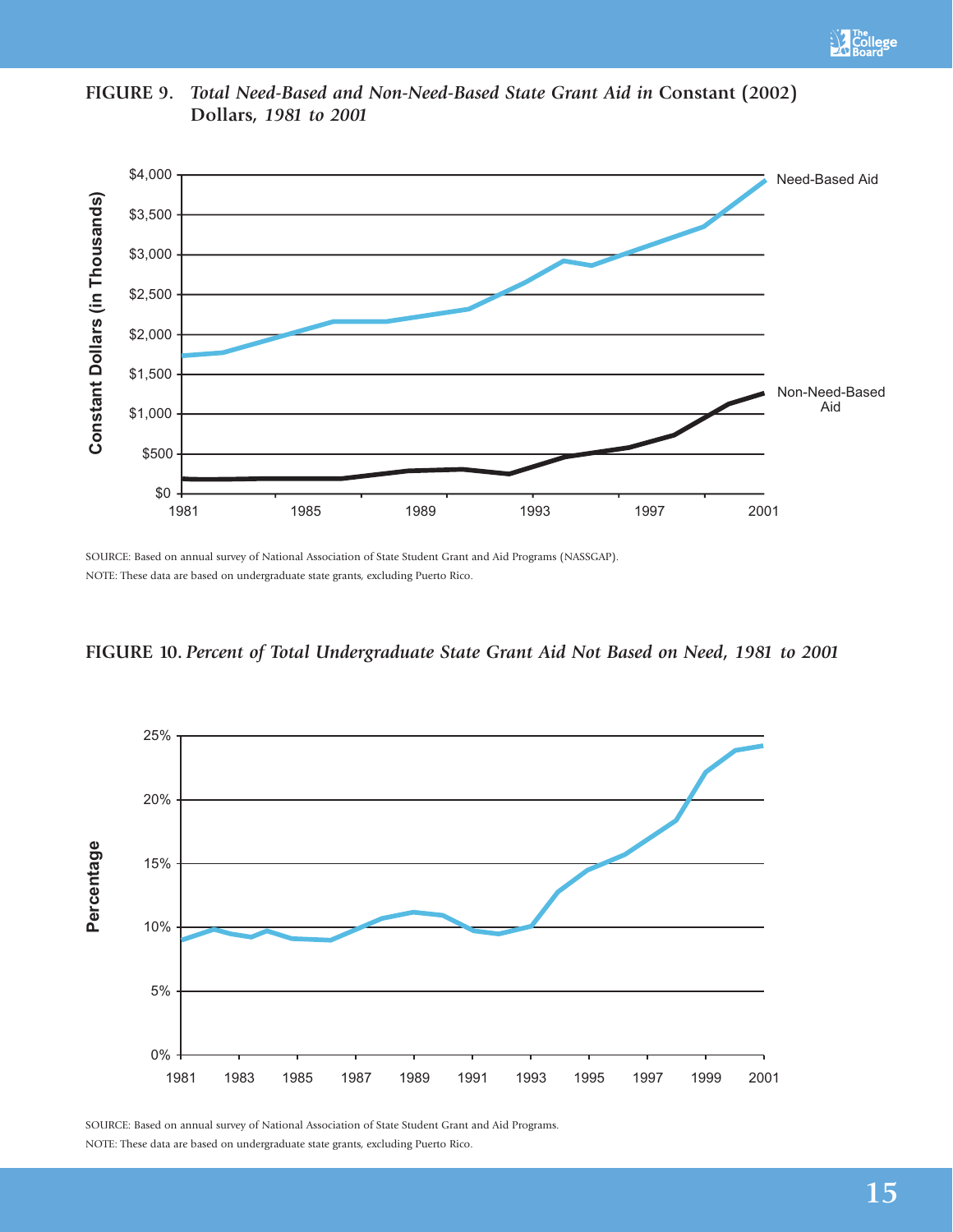



**FIGURE 9.** *Total Need-Based and Non-Need-Based State Grant Aid in* **Constant (2002) Dollars***, 1981 to 2001*

SOURCE: Based on annual survey of National Association of State Student Grant and Aid Programs (NASSGAP). NOTE: These data are based on undergraduate state grants, excluding Puerto Rico.





SOURCE: Based on annual survey of National Association of State Student Grant and Aid Programs. NOTE: These data are based on undergraduate state grants, excluding Puerto Rico.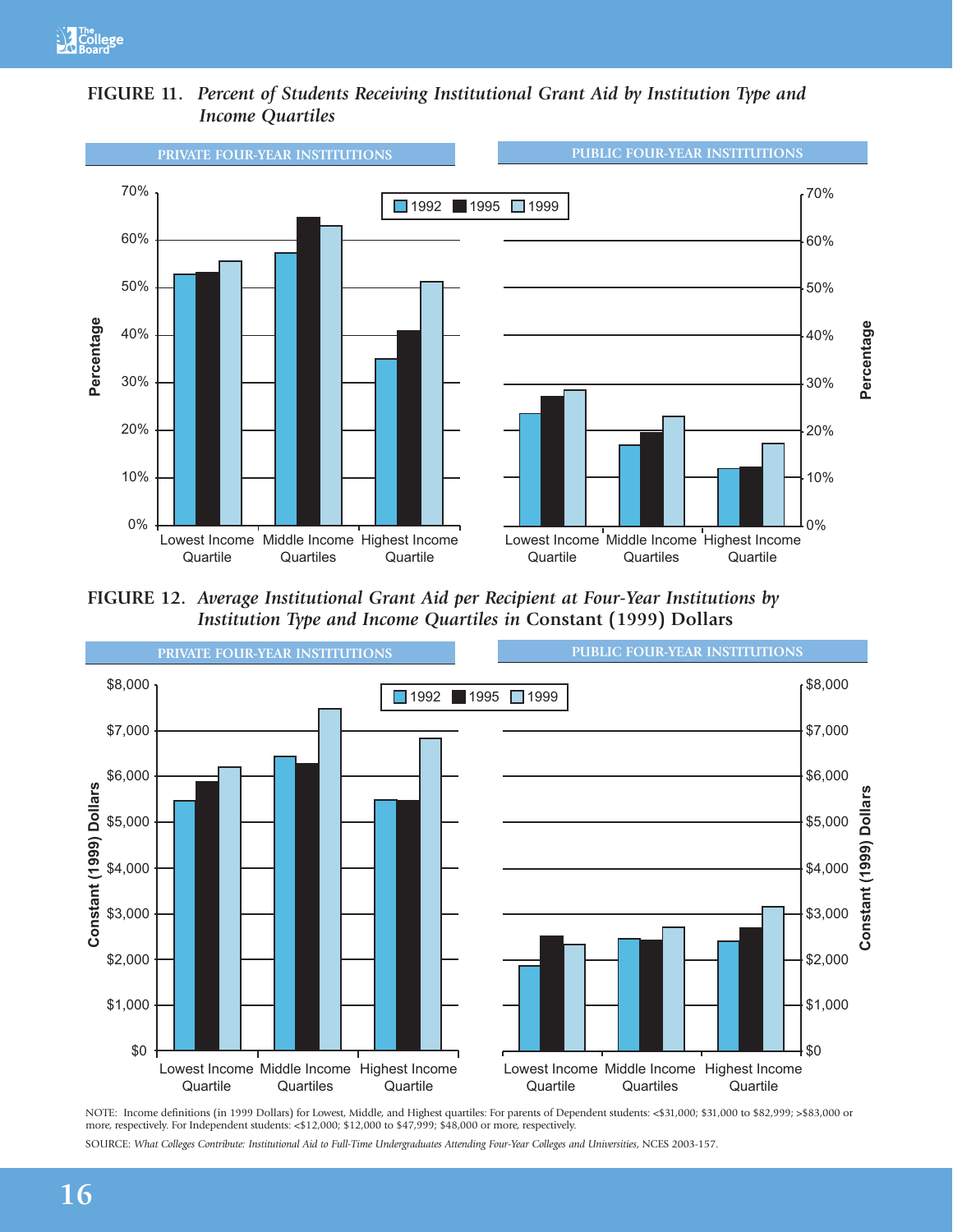



**FIGURE 12.** *Average Institutional Grant Aid per Recipient at Four-Year Institutions by Institution Type and Income Quartiles in* **Constant (1999) Dollars**



NOTE: Income definitions (in 1999 Dollars) for Lowest, Middle, and Highest quartiles: For parents of Dependent students: <\$31,000; \$31,000 to \$82,999; >\$83,000 or more, respectively. For Independent students: <\$12,000; \$12,000 to \$47,999; \$48,000 or more, respectively.

SOURCE: *What Colleges Contribute: Institutional Aid to Full-Time Undergraduates Attending Four-Year Colleges and Universities*, NCES 2003-157.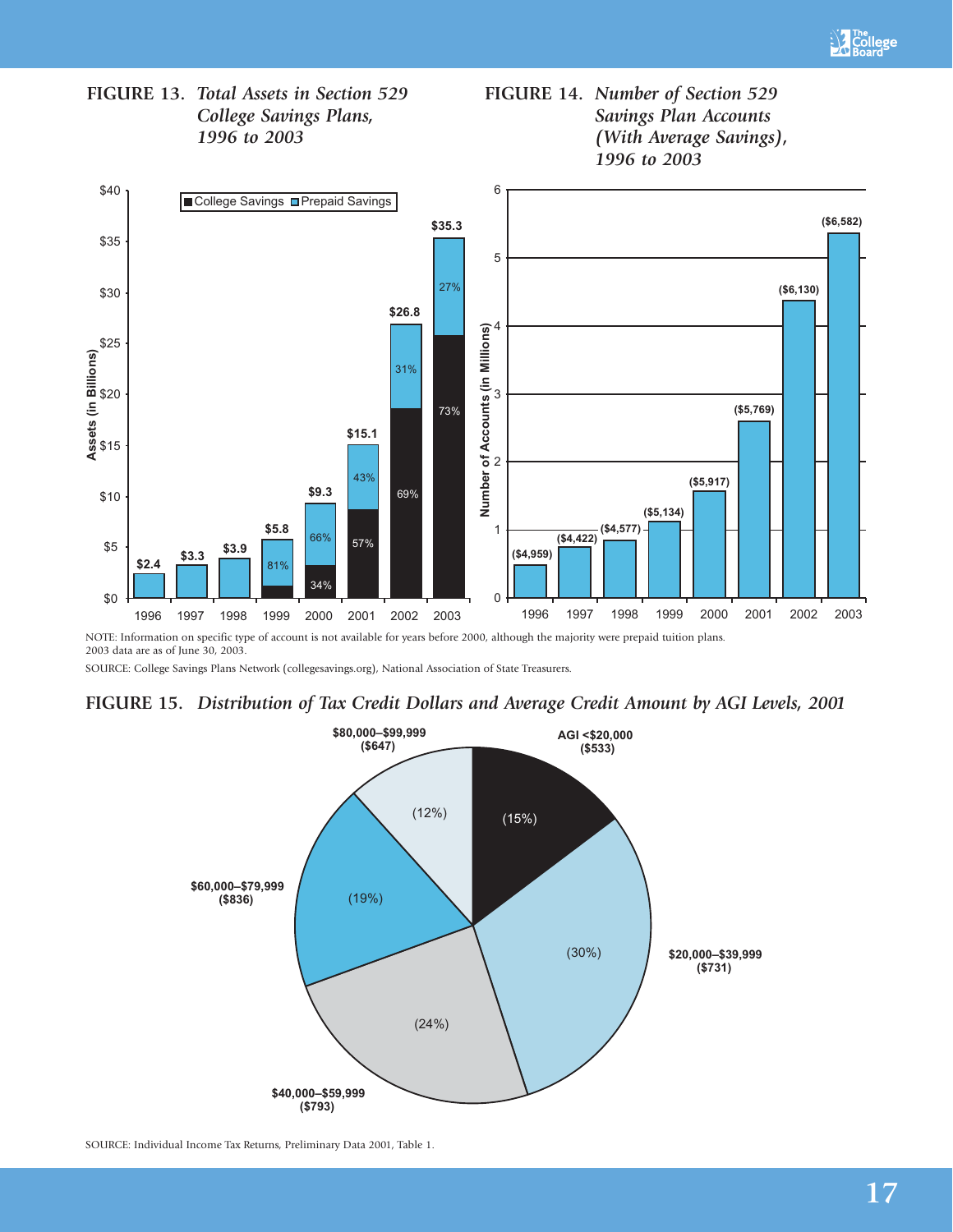







NOTE: Information on specific type of account is not available for years before 2000, although the majority were prepaid tuition plans. 2003 data are as of June 30, 2003.

SOURCE: College Savings Plans Network (collegesavings.org), National Association of State Treasurers.

## **FIGURE 15.** *Distribution of Tax Credit Dollars and Average Credit Amount by AGI Levels, 2001*



SOURCE: Individual Income Tax Returns, Preliminary Data 2001, Table 1.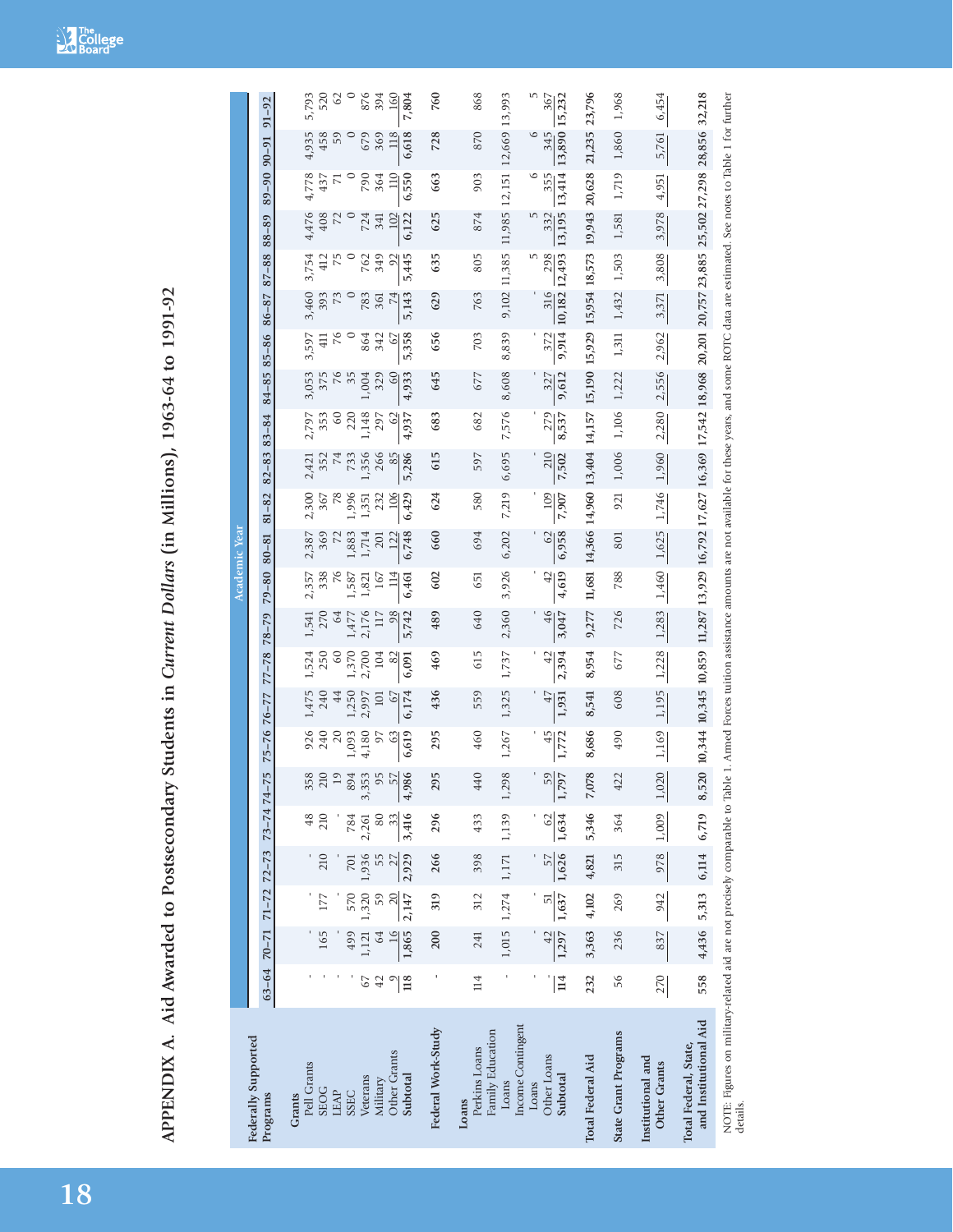|                                                                                                                                                                                                                                          |                       |             |                     |             |                   |                           |                  |              |              |                 | Academic Year |                             |               |              |                  |                                                                                                                        |                        |                       |               |               |                             |                |              |
|------------------------------------------------------------------------------------------------------------------------------------------------------------------------------------------------------------------------------------------|-----------------------|-------------|---------------------|-------------|-------------------|---------------------------|------------------|--------------|--------------|-----------------|---------------|-----------------------------|---------------|--------------|------------------|------------------------------------------------------------------------------------------------------------------------|------------------------|-----------------------|---------------|---------------|-----------------------------|----------------|--------------|
| Federally Supported<br>Programs                                                                                                                                                                                                          | $63 - 64$             | $70 - 71$   | $71 - 72$ $72 - 73$ |             | $73 - 747 - 7$    | įη                        | $75 - 7676 - 77$ |              | $77 - 78$    | $78 - 79$       | $79 - 80$     | $80 - 81$                   | $81 - 82$     | $82 - 83$    | $83 - 84$        | 84-85                                                                                                                  | $85 - 86$              | $86 - 87$             | $87 - 88$     | $88 - 89$     | $89 - 90$ $90 - 91$         |                | $91 - 92$    |
| Pell Grants<br><b>SEOG</b><br>Grants                                                                                                                                                                                                     |                       | 165         | 177                 | 210         | 48<br>210         | ∞<br>35<br>$\overline{2}$ | 926<br>240       | 1,475<br>240 | 1,524<br>250 | 1,541           | 338<br>2,357  | 2,387                       | 2,300<br>367  | 2,421<br>352 | 2,797<br>353     | 3,053<br>375                                                                                                           | 3,597<br>$\frac{1}{4}$ | 3,460<br>393          | 3,754<br>412  | 4,476<br>408  | 4,778<br>437                | 4,935<br>458   | 5,793<br>520 |
| <b>LEAP</b><br><b>SSEC</b>                                                                                                                                                                                                               |                       | 499         | 570                 | 701         | 784               | $\circ$<br>4<br>89        | 20<br>1,093      | 44<br>1,250  | 60<br>1,370  | 64<br>1,477     | 1,587         | 1,883                       | 1,996         | 74<br>733    | $\degree$<br>220 | 35                                                                                                                     |                        |                       |               | 72            |                             | $\circ$<br>59  | $\Im$        |
| Veterans                                                                                                                                                                                                                                 | 67                    | 1,121       | 1,320               | 1,936       | 2,261             | 3<br>3,35                 | 4,180            | 2,997        | 2,700        | 2,176           | 1,821         | 1,714                       | $\frac{5}{1}$ | 1,356        | 1,148            | 1,004                                                                                                                  | 864                    | 783                   | 762           | 724           | 790                         | 679            | 876          |
| Military                                                                                                                                                                                                                                 | 42                    | $^{64}$     | 59                  |             | 80                | S                         | 57               | 101          | 104          | $\overline{11}$ | 167           | 201                         | 232           | 266          | 297              | 329                                                                                                                    | 342                    | $\overline{7}$<br>361 | 349           | 341           | 364                         | 369            | 394          |
| Other Grants<br>Subtotal                                                                                                                                                                                                                 | 118                   | 1,865       | 2,147               | 2,929       | 3,416<br>33       | 4,986                     | 6.619<br>63      | 6,174<br>67  | 82<br>6,091  | 98<br>5,742     | 114<br>6,461  | 6,748<br>122                | 6,429<br>106  | 5,286<br>85  | 4,937<br>62      | 4,933<br>$^{60}$                                                                                                       | 5,358<br>67            | 5,143                 | 5,445<br>92   | 6,122<br>102  | $\overline{110}$<br>6,550   | 6,618<br>118   | 7,804<br>160 |
| Federal Work-Study                                                                                                                                                                                                                       |                       | 200         | 319                 | 266         | 296               | S<br>29                   | 295              | 436          | 469          | 489             | 602           | 660                         | 624           | 615          | 683              | 645                                                                                                                    | 656                    | 629                   | 635           | 625           | 663                         | 728            | 760          |
| Family Education<br>Perkins Loans<br>Loans                                                                                                                                                                                               | 114                   | 241         | 312                 | 398         | 433               | 440                       | 460              | 559          | 615          | 640             | 651           | 694                         | 580           | 597          | 682              | 677                                                                                                                    | 703                    | 763                   | 805           | 874           | 903                         | 870            | 868          |
| Loans                                                                                                                                                                                                                                    |                       |             | 1,015 1,274         | 1,171       | 1,139             | ŏ<br>1,29                 | 1,267            | 1,325        | 1,737        | 2,360           | 3,926         | 6,202                       | 7,219         | 6,695        | 7,576            | 8,608                                                                                                                  | 8,839                  | 9,102 11,385          |               |               | 11,985 12,151 12,669 13,993 |                |              |
| Income Contingent<br>Loans                                                                                                                                                                                                               |                       |             |                     |             |                   |                           |                  |              |              |                 |               |                             |               |              |                  |                                                                                                                        |                        |                       |               | S             | $\circ$                     | $\circ$<br>345 | m            |
| <b>Other Loans</b><br>Subtotal                                                                                                                                                                                                           | $\vert \vec{1} \vert$ | 1,297<br>42 | 1,637<br>5          | 1,626<br>57 | 1,634<br>$\Omega$ | $\frac{59}{1,797}$        | 45<br>1,772      | 47<br>1,931  | 42<br>2,394  | 46<br>3,047     | 42<br>4,619   | 6,958<br>62                 | 109<br>7,907  | 210<br>7,502 | 279<br>8,537     | 9,612<br>327                                                                                                           | 9,914<br>372           | 10,182<br>316         | 298<br>12,493 | 13,195<br>332 | 13,414<br>355               | 13,890 15,232  | 367          |
| Total Federal Aid                                                                                                                                                                                                                        | 232                   | 3,363       | 4,102               | 4,821       | 5,346             | 7,078                     | 8,686            | 8,541        | 8,954        | 9,277           |               | 11,681 14,366 14,960 13,404 |               |              |                  | 14, 157 15, 190 15, 929 15, 954 18, 573                                                                                |                        |                       |               | 19,943 20,628 |                             | 21,235 23,796  |              |
| State Grant Programs                                                                                                                                                                                                                     | 56                    | 236         | 269                 | 315         | 364               | 422                       | 490              | 608          | 677          | 726             | 788           | 801                         | 921           | 1,006        | 1,106            | 1,222                                                                                                                  | 1,311                  | 1,432                 | 1,503         | 1,581         | 1,719                       | 1,860          | 1,968        |
| Institutional and<br><b>Other Grants</b>                                                                                                                                                                                                 | 270                   | 837         | 942                 | 978         | 1,009             | 1,020                     | 1,169            | 1,195        | 1,228        | 1,283           | 1,460         | 1,625                       | 1,746         | 1,960        | 2,280            | 2,556                                                                                                                  | 2,962                  | 3,371                 | 3,808         | 3,978         | 4,951                       | 5,761          | 6,454        |
| and Institutional Aid<br>Total Federal, State,                                                                                                                                                                                           | 558                   | 4,436 5,313 |                     |             | 6,114 6,719 8,520 |                           |                  |              |              |                 |               |                             |               |              |                  | 10,344 10,345 10,859 11,287 13,929 16,792 16,792 16,369 17,542 18,968 20,201 20,757 23,885 25,502 27,298 28,856 32,218 |                        |                       |               |               |                             |                |              |
| NOTE: Figures on military-related aid are not precisely comparable to Table 1. Armed Forces tuition assistance amounts are not available for these years, and some ROTC data are estimated. See notes to Table 1 for further<br>details. |                       |             |                     |             |                   |                           |                  |              |              |                 |               |                             |               |              |                  |                                                                                                                        |                        |                       |               |               |                             |                |              |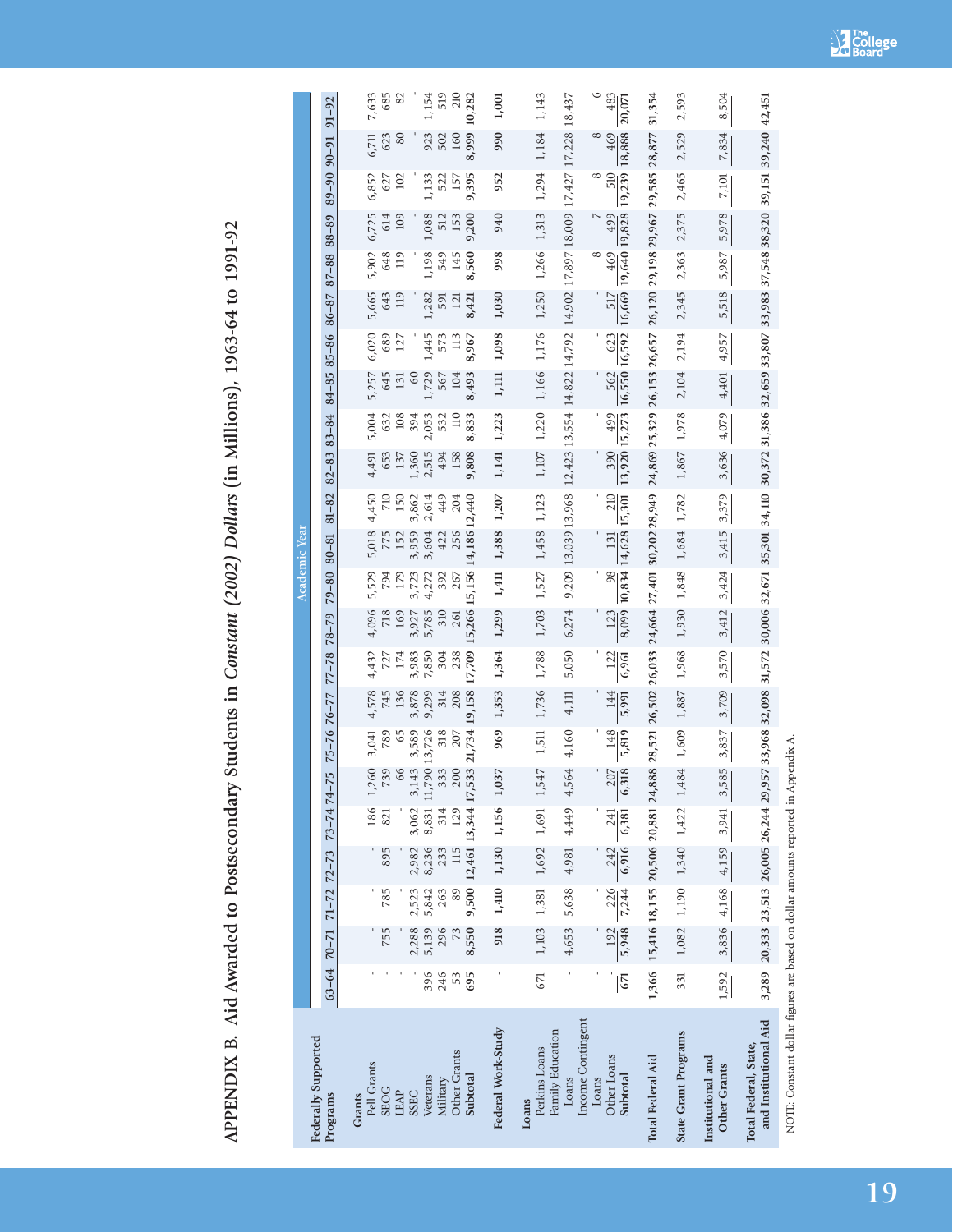APPENDIX B. Aid Awarded to Postsecondary Students in Constant (2002) Dollars (in Millions), 1963-64 to 1991-92 **APPENDIX B. Aid Awarded to Postsecondary Students in** *Constant (2002) Dollars* **(in Millions), 1963-64 to 1991-92**

|                                                                                   |                  |                                                                                                                                                                 |              |                     |                                                      |                                         |                |                     |                                           |              |                     | <b>Academic Year</b> |                        |            |                                                                       |                      |                       |               |                      |            |                  |               |                        |
|-----------------------------------------------------------------------------------|------------------|-----------------------------------------------------------------------------------------------------------------------------------------------------------------|--------------|---------------------|------------------------------------------------------|-----------------------------------------|----------------|---------------------|-------------------------------------------|--------------|---------------------|----------------------|------------------------|------------|-----------------------------------------------------------------------|----------------------|-----------------------|---------------|----------------------|------------|------------------|---------------|------------------------|
| Federally Supported<br>Programs                                                   |                  | $63 - 64$ $70 - 71$                                                                                                                                             |              | $71 - 72$ $72 - 73$ | $73 - 7474$                                          | $-75$                                   |                | $75 - 76$ $76 - 77$ | $77 - 78$                                 | $78 - 79$    | $79 - 80$           | $80 - 81$            | $81 - 82$              | $82 - 83$  | $83 - 84$                                                             | 84-85                | $85 - 86$             | $86 - 87$     | 87-88                | $88 - 89$  | $89 - 90$ 90 -91 |               | $91 - 92$              |
| Pell Grants<br>Grants                                                             |                  |                                                                                                                                                                 |              |                     | 186                                                  | .260                                    | 3,041          | 4,578               | 4,432                                     | 4,096        | 5,529               | 5,018                | 4,450                  | 4,491      | 5,004                                                                 | 5,257                | 6,020                 | 5,665         | 5,902                | 6,725      | 6,852            | 6,711         | 7,633                  |
| <b>SEOG</b><br>LEAP                                                               |                  | 755                                                                                                                                                             | 785          | 895                 | 821                                                  | 739<br>66                               | 789<br>65      | 745<br>136          | $727$<br>174                              | 169<br>718   | 794<br>179          | 775<br>152           | 150<br>$\overline{20}$ | 653<br>137 | 632<br>108                                                            | 645<br>131           | 689<br>127            | 643<br>119    | 648<br>119           | 614<br>109 | 627<br>102       | 80<br>623     | 82<br>685              |
| <b>SSEC</b>                                                                       |                  | 2,288                                                                                                                                                           | 2,523        | 2,982               | 3,062                                                | 3,143                                   | 3,589          | 3,878               | 3,983                                     | 3,927        | 3,723               | 3,959                | 3,862                  | 1,360      | 394                                                                   | 60                   |                       |               |                      |            |                  |               |                        |
| Veterans                                                                          | 396              | 5,139                                                                                                                                                           | 5,842        | 8,236               |                                                      | 8,831 11,790                            | 13,726         | 9,299               | 7,850                                     | 5,785        | 4,272               | 3,604                | 2,614                  | 2,515      | 2,053                                                                 | 1,729                | 1,445                 | 1,282         | 1,198                | 1,088      | 1,133            | 923           | 1,154                  |
| <b>Other Grants</b><br>Military                                                   | 246              | 296                                                                                                                                                             | 263<br>89    | 115<br>233          | 314<br>129                                           | 200<br>333                              | 318<br>$207\,$ | 208<br>314          | 238<br>304                                | 310<br>261   | 392<br>267          | 256<br>422           | 204<br>449             | 494<br>158 | 532<br>$\overline{110}$                                               | 567<br>104           | 573<br>$\frac{13}{2}$ | 121<br>591    | 145<br>549           | 512<br>153 | 157<br>522       | 160<br>502    | 519<br>$\frac{210}{2}$ |
| Subtotal                                                                          | $\frac{53}{695}$ | 8,550                                                                                                                                                           |              |                     | $9,500$ $12,461$ $\overline{13,344}$ $\overline{17}$ | 533                                     | 21,734         | 19,158              | 17,709                                    | 15,266       | 15,156              | 14,186 12,440        |                        | 9,808      | 8,833                                                                 | 8,493                | 8,967                 | 8,421         | 8,560                | 9,200      | 9,395            | 8,999         | 10,282                 |
| Federal Work-Study                                                                |                  | 918                                                                                                                                                             |              |                     | 1,410 1,130 1,156 1,                                 | 037                                     | 969            | 1,353               | 1,364                                     | 1,299        | 1,411               | 1,388 1,207          |                        | 1,141      | 1,223                                                                 | 1,111                | 1,098                 | 1,030         | 998                  | 940        | 952              | 990           | 1,001                  |
| Family Education<br>Perkins Loans<br>Loans                                        | 671              | 1,103                                                                                                                                                           | 1,381        | 1,692               | 1,691                                                | 547<br>$\overline{a}$                   | 1,511          | 1,736               | 1,788                                     | 1,703        | 1,527               | 1,458 1,123          |                        | 1,107      | 1,220                                                                 | 1,166                | 1,176                 | 1,250         | 1,266                | 1,313      | 1,294            | 1,184         | 1,143                  |
| Income Contingent<br>Loans                                                        |                  | 4,653                                                                                                                                                           | 5,638        | 4,981               | 4,449                                                | .564<br>4                               | 4,160          | 4,111               | 5,050                                     | 6,274        |                     | 9,209 13,039 13,968  |                        |            | 12,423 13,554 14,822 14,792 14,902 17,897 18,009 17,427 17,228 18,437 |                      |                       |               |                      |            |                  |               |                        |
| Loans                                                                             |                  |                                                                                                                                                                 |              |                     |                                                      |                                         |                |                     |                                           |              |                     |                      |                        |            |                                                                       |                      |                       |               | ∞                    |            | $^{\circ}$       | $^{\circ}$    | $\circ$                |
| Other Loans<br>Subtotal                                                           | 671              | 5,948<br>192                                                                                                                                                    | 226<br>7,244 | 6,916<br>242        | 6,381<br>241                                         | 207<br>318<br>$\circ$                   | 148<br>5,819   | 144<br>5,991        | 122<br>6,961                              | 8,099<br>123 | 10,834 14,628<br>98 | 131                  | 210<br>15,301          | 390        | 13,920 15,273<br>499                                                  | 16,550 16,592<br>562 | 623                   | 16,669<br>517 | 19,640 19,828<br>469 | 499        | 510<br>19,239    | 18,888<br>469 | 483<br>20,071          |
| Total Federal Aid                                                                 |                  | 1,366 15,416 18,155 20,506 20,881 24                                                                                                                            |              |                     |                                                      | ,888                                    | 28,521         |                     | 26,502 26,033 24,664 27,401 30,202 28,949 |              |                     |                      |                        |            | 24,869 25,329                                                         | 26,153 26,657        |                       |               | 26,120 29,198 29,967 |            | 29,585 28,877    |               | 31,354                 |
| State Grant Programs                                                              | 331              |                                                                                                                                                                 |              |                     |                                                      | $1,082$ $1,190$ $1,340$ $1,422$ $1,484$ | 1,609          | 1,887               | 1,968                                     | 1,930        | 1,848               | 1,684 1,782          |                        | 1,867      | 1,978                                                                 | 2,104                | 2,194                 | 2,345         | 2,363                | 2,375      | 2,465            | 2,529         | 2,593                  |
| Institutional and<br><b>Other Grants</b>                                          | 1,592            |                                                                                                                                                                 |              | 3,836 4,168 4,159   | 3,941                                                | ,585<br>$\omega$                        | 3,837          | 3,709               | 3,570                                     | 3,412        | 3,424               | 3,415                | 3,379                  | 3,636      | 4,079                                                                 | 4,401                | 4,957                 | 5,518         | 5,987                | 5,978      | 7,101            | 7,834         | 8,504                  |
| and Institutional Aid<br>Total Federal, State,                                    |                  | 3,289 20,333 23,513 26,005 26,244 29,957 33,968 32,098 31,572 30,006 32,671 35,301 34,110 30,372 31,386 32,659 33,807 33,983 37,548 38,320 39,151 39,240 42,451 |              |                     |                                                      |                                         |                |                     |                                           |              |                     |                      |                        |            |                                                                       |                      |                       |               |                      |            |                  |               |                        |
| NOTE: Constant dollar figures are based on dollar amounts reported in Appendix A. |                  |                                                                                                                                                                 |              |                     |                                                      |                                         |                |                     |                                           |              |                     |                      |                        |            |                                                                       |                      |                       |               |                      |            |                  |               |                        |

**SA** The Board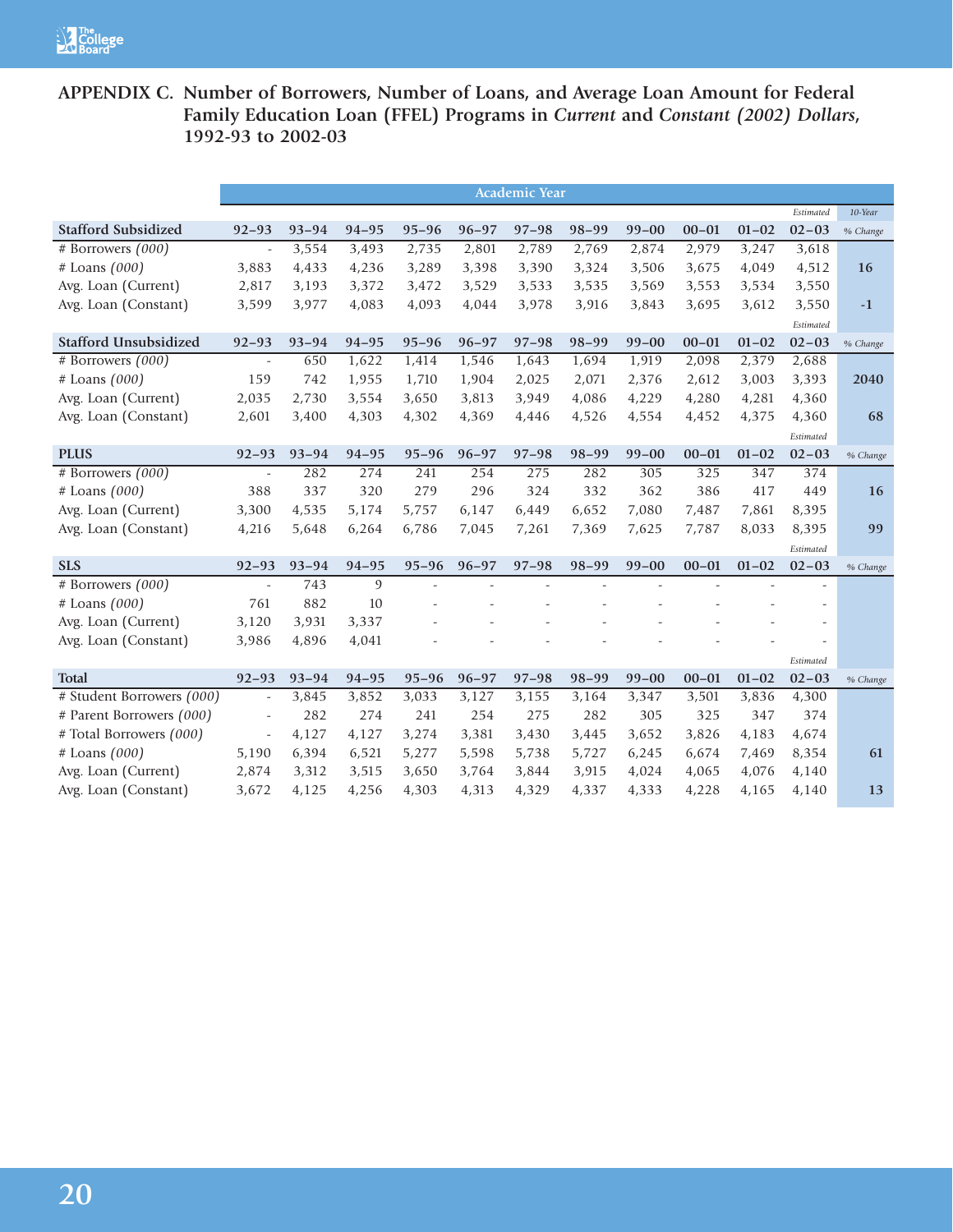# **APPENDIX C. Number of Borrowers, Number of Loans, and Average Loan Amount for Federal Family Education Loan (FFEL) Programs in** *Current* **and** *Constant (2002) Dollars***, 1992-93 to 2002-03**

|                              | <b>Academic Year</b>     |           |           |           |           |           |           |           |                |           |           |          |
|------------------------------|--------------------------|-----------|-----------|-----------|-----------|-----------|-----------|-----------|----------------|-----------|-----------|----------|
|                              |                          |           |           |           |           |           |           |           |                |           | Estimated | 10-Year  |
| <b>Stafford Subsidized</b>   | $92 - 93$                | $93 - 94$ | $94 - 95$ | $95 - 96$ | $96 - 97$ | $97 - 98$ | $98 - 99$ | $99 - 00$ | $00 - 01$      | $01 - 02$ | $02 - 03$ | % Change |
| # Borrowers (000)            | $\overline{\phantom{a}}$ | 3,554     | 3,493     | 2,735     | 2,801     | 2,789     | 2,769     | 2,874     | 2,979          | 3,247     | 3,618     |          |
| $#$ Loans $(000)$            | 3,883                    | 4,433     | 4,236     | 3,289     | 3,398     | 3,390     | 3,324     | 3,506     | 3,675          | 4,049     | 4,512     | 16       |
| Avg. Loan (Current)          | 2,817                    | 3,193     | 3,372     | 3,472     | 3,529     | 3,533     | 3,535     | 3,569     | 3,553          | 3,534     | 3,550     |          |
| Avg. Loan (Constant)         | 3,599                    | 3,977     | 4,083     | 4,093     | 4,044     | 3,978     | 3,916     | 3,843     | 3,695          | 3,612     | 3,550     | $-1$     |
|                              |                          |           |           |           |           |           |           |           |                |           | Estimated |          |
| <b>Stafford Unsubsidized</b> | $92 - 93$                | $93 - 94$ | $94 - 95$ | $95 - 96$ | $96 - 97$ | $97 - 98$ | $98 - 99$ | $99 - 00$ | $00 - 01$      | $01 - 02$ | $02 - 03$ | % Change |
| # Borrowers (000)            | $\bar{\phantom{a}}$      | 650       | 1,622     | 1,414     | 1,546     | 1,643     | 1,694     | 1,919     | 2,098          | 2,379     | 2,688     |          |
| $#$ Loans $(000)$            | 159                      | 742       | 1,955     | 1,710     | 1,904     | 2,025     | 2,071     | 2,376     | 2,612          | 3,003     | 3,393     | 2040     |
| Avg. Loan (Current)          | 2,035                    | 2,730     | 3,554     | 3,650     | 3,813     | 3,949     | 4,086     | 4,229     | 4,280          | 4,281     | 4,360     |          |
| Avg. Loan (Constant)         | 2,601                    | 3,400     | 4,303     | 4,302     | 4,369     | 4,446     | 4,526     | 4,554     | 4,452          | 4,375     | 4,360     | 68       |
|                              |                          |           |           |           |           |           |           |           |                |           | Estimated |          |
| <b>PLUS</b>                  | $92 - 93$                | $93 - 94$ | $94 - 95$ | $95 - 96$ | $96 - 97$ | $97 - 98$ | $98 - 99$ | $99 - 00$ | $00 - 01$      | $01 - 02$ | $02 - 03$ | % Change |
| # Borrowers (000)            | $\overline{a}$           | 282       | 274       | 241       | 254       | 275       | 282       | 305       | 325            | 347       | 374       |          |
| # Loans (000)                | 388                      | 337       | 320       | 279       | 296       | 324       | 332       | 362       | 386            | 417       | 449       | 16       |
| Avg. Loan (Current)          | 3,300                    | 4,535     | 5,174     | 5,757     | 6,147     | 6,449     | 6,652     | 7,080     | 7,487          | 7,861     | 8,395     |          |
| Avg. Loan (Constant)         | 4,216                    | 5,648     | 6,264     | 6,786     | 7,045     | 7,261     | 7,369     | 7,625     | 7,787          | 8,033     | 8,395     | 99       |
|                              |                          |           |           |           |           |           |           |           |                |           | Estimated |          |
| <b>SLS</b>                   | $92 - 93$                | $93 - 94$ | $94 - 95$ | $95 - 96$ | $96 - 97$ | $97 - 98$ | $98 - 99$ | $99 - 00$ | $00 - 01$      | $01 - 02$ | $02 - 03$ | % Change |
| # Borrowers (000)            | $\omega$                 | 743       | 9         | L.        |           |           |           |           | $\overline{a}$ |           |           |          |
| $#$ Loans $(000)$            | 761                      | 882       | 10        |           |           |           |           |           |                |           |           |          |
| Avg. Loan (Current)          | 3,120                    | 3,931     | 3,337     |           |           |           |           |           |                |           |           |          |
| Avg. Loan (Constant)         | 3,986                    | 4,896     | 4,041     |           |           |           |           |           |                |           |           |          |
|                              |                          |           |           |           |           |           |           |           |                |           | Estimated |          |
| <b>Total</b>                 | $92 - 93$                | $93 - 94$ | $94 - 95$ | $95 - 96$ | $96 - 97$ | $97 - 98$ | $98 - 99$ | $99 - 00$ | $00 - 01$      | $01 - 02$ | $02 - 03$ | % Change |
| # Student Borrowers (000)    | $\omega$                 | 3,845     | 3,852     | 3,033     | 3,127     | 3,155     | 3,164     | 3,347     | 3,501          | 3,836     | 4,300     |          |
| # Parent Borrowers (000)     | $\omega$                 | 282       | 274       | 241       | 254       | 275       | 282       | 305       | 325            | 347       | 374       |          |
| # Total Borrowers (000)      | $\overline{\phantom{a}}$ | 4,127     | 4,127     | 3,274     | 3,381     | 3,430     | 3,445     | 3,652     | 3,826          | 4,183     | 4,674     |          |
| $#$ Loans $(000)$            | 5,190                    | 6,394     | 6,521     | 5,277     | 5,598     | 5,738     | 5,727     | 6,245     | 6,674          | 7,469     | 8,354     | 61       |
| Avg. Loan (Current)          | 2,874                    | 3,312     | 3,515     | 3,650     | 3,764     | 3,844     | 3,915     | 4,024     | 4,065          | 4,076     | 4,140     |          |
| Avg. Loan (Constant)         | 3,672                    | 4,125     | 4,256     | 4,303     | 4,313     | 4,329     | 4,337     | 4,333     | 4,228          | 4,165     | 4,140     | 13       |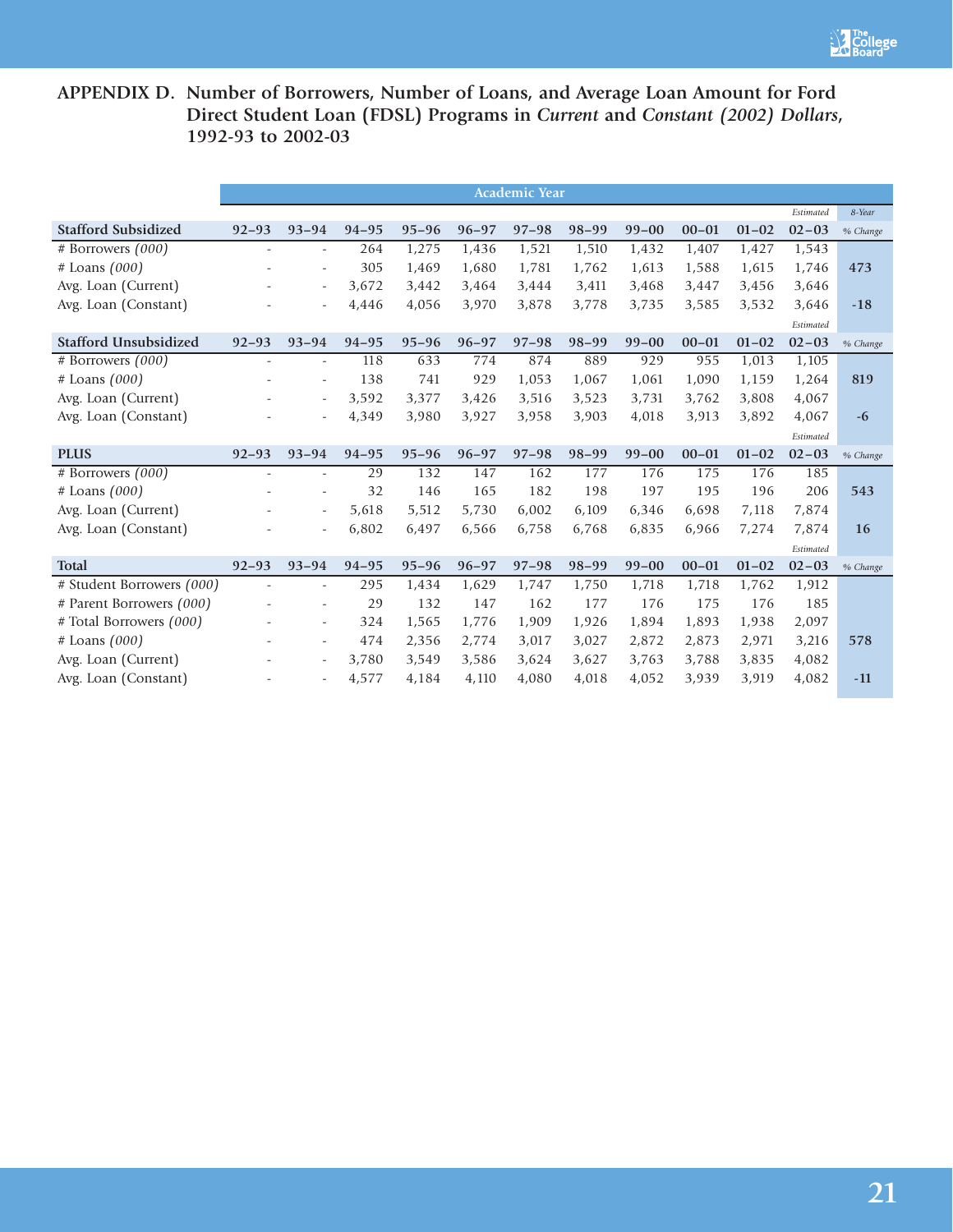

# **APPENDIX D. Number of Borrowers, Number of Loans, and Average Loan Amount for Ford Direct Student Loan (FDSL) Programs in** *Current* **and** *Constant (2002) Dollars***, 1992-93 to 2002-03**

|                              | <b>Academic Year</b>     |                          |           |           |           |           |           |           |           |           |           |          |
|------------------------------|--------------------------|--------------------------|-----------|-----------|-----------|-----------|-----------|-----------|-----------|-----------|-----------|----------|
|                              |                          |                          |           |           |           |           |           |           |           |           | Estimated | 8-Year   |
| <b>Stafford Subsidized</b>   | $92 - 93$                | $93 - 94$                | $94 - 95$ | $95 - 96$ | $96 - 97$ | $97 - 98$ | $98 - 99$ | $99 - 00$ | $00 - 01$ | $01 - 02$ | $02 - 03$ | % Change |
| # Borrowers (000)            | $\overline{\phantom{a}}$ | $\overline{\phantom{a}}$ | 264       | 1,275     | 1,436     | 1,521     | 1,510     | 1,432     | 1,407     | 1,427     | 1,543     |          |
| $#$ Loans $(000)$            |                          | $\overline{\phantom{a}}$ | 305       | 1,469     | 1,680     | 1,781     | 1,762     | 1,613     | 1,588     | 1,615     | 1,746     | 473      |
| Avg. Loan (Current)          |                          | $\overline{\phantom{a}}$ | 3,672     | 3,442     | 3,464     | 3,444     | 3,411     | 3,468     | 3,447     | 3,456     | 3,646     |          |
| Avg. Loan (Constant)         |                          |                          | 4,446     | 4,056     | 3,970     | 3,878     | 3,778     | 3,735     | 3,585     | 3,532     | 3,646     | $-18$    |
|                              |                          |                          |           |           |           |           |           |           |           |           | Estimated |          |
| <b>Stafford Unsubsidized</b> | $92 - 93$                | $93 - 94$                | $94 - 95$ | $95 - 96$ | $96 - 97$ | $97 - 98$ | $98 - 99$ | $99 - 00$ | $00 - 01$ | $01 - 02$ | $02 - 03$ | % Change |
| # Borrowers (000)            | $\overline{\phantom{a}}$ | $\overline{\phantom{a}}$ | 118       | 633       | 774       | 874       | 889       | 929       | 955       | 1,013     | 1,105     |          |
| $#$ Loans $(000)$            |                          | ÷,                       | 138       | 741       | 929       | 1,053     | 1,067     | 1,061     | 1,090     | 1,159     | 1,264     | 819      |
| Avg. Loan (Current)          |                          | $\overline{\phantom{a}}$ | 3,592     | 3,377     | 3,426     | 3,516     | 3,523     | 3,731     | 3,762     | 3,808     | 4,067     |          |
| Avg. Loan (Constant)         |                          | ÷,                       | 4,349     | 3,980     | 3,927     | 3,958     | 3,903     | 4,018     | 3,913     | 3,892     | 4,067     | $-6$     |
|                              |                          |                          |           |           |           |           |           |           |           |           | Estimated |          |
| <b>PLUS</b>                  | $92 - 93$                | $93 - 94$                | $94 - 95$ | $95 - 96$ | $96 - 97$ | $97 - 98$ | $98 - 99$ | $99 - 00$ | $00 - 01$ | $01 - 02$ | $02 - 03$ | % Change |
| # Borrowers $(000)$          | ÷.                       | $\sim$                   | 29        | 132       | 147       | 162       | 177       | 176       | 175       | 176       | 185       |          |
| # Loans (000)                |                          | $\overline{\phantom{a}}$ | 32        | 146       | 165       | 182       | 198       | 197       | 195       | 196       | 206       | 543      |
| Avg. Loan (Current)          |                          | ÷,                       | 5,618     | 5,512     | 5,730     | 6,002     | 6,109     | 6,346     | 6,698     | 7,118     | 7,874     |          |
| Avg. Loan (Constant)         |                          | ÷,                       | 6,802     | 6,497     | 6,566     | 6,758     | 6,768     | 6,835     | 6,966     | 7,274     | 7,874     | 16       |
|                              |                          |                          |           |           |           |           |           |           |           |           | Estimated |          |
| <b>Total</b>                 | $92 - 93$                | $93 - 94$                | $94 - 95$ | $95 - 96$ | $96 - 97$ | $97 - 98$ | $98 - 99$ | $99 - 00$ | $00 - 01$ | $01 - 02$ | $02 - 03$ | % Change |
| # Student Borrowers (000)    |                          | ÷,                       | 295       | 1,434     | 1,629     | 1,747     | 1,750     | 1,718     | 1,718     | 1,762     | 1,912     |          |
| # Parent Borrowers (000)     |                          | ÷,                       | 29        | 132       | 147       | 162       | 177       | 176       | 175       | 176       | 185       |          |
| # Total Borrowers (000)      |                          | $\overline{\phantom{a}}$ | 324       | 1,565     | 1,776     | 1,909     | 1,926     | 1,894     | 1,893     | 1,938     | 2,097     |          |
| $#$ Loans $(000)$            |                          | $\overline{\phantom{0}}$ | 474       | 2,356     | 2,774     | 3,017     | 3,027     | 2,872     | 2,873     | 2,971     | 3,216     | 578      |
| Avg. Loan (Current)          |                          | $\overline{\phantom{a}}$ | 3,780     | 3,549     | 3,586     | 3,624     | 3,627     | 3,763     | 3,788     | 3,835     | 4,082     |          |
| Avg. Loan (Constant)         |                          | $\overline{\phantom{a}}$ | 4,577     | 4,184     | 4,110     | 4,080     | 4,018     | 4,052     | 3,939     | 3,919     | 4,082     | $-11$    |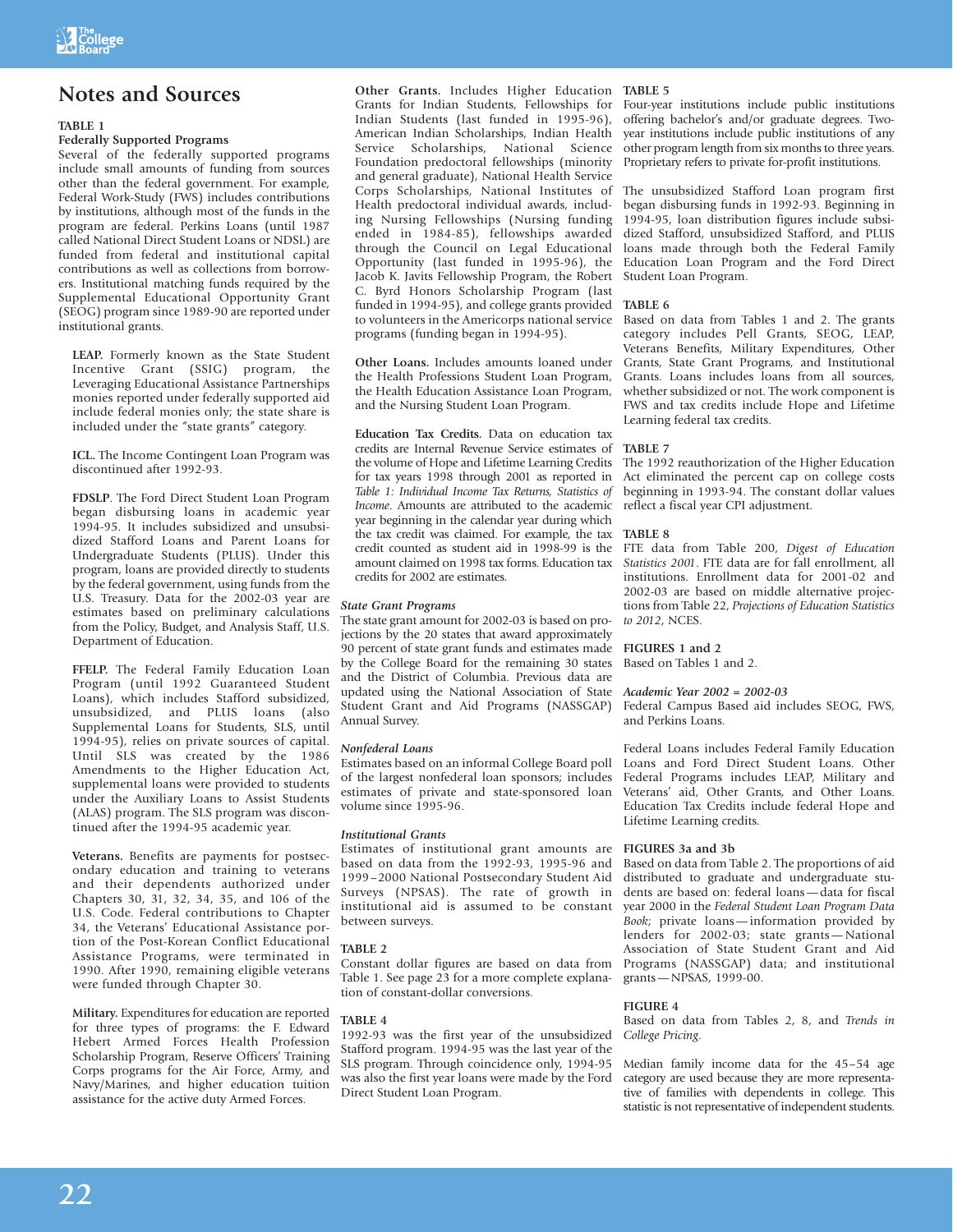# **Notes and Sources**

### **TABLE 1**

## **Federally Supported Programs**

Several of the federally supported programs include small amounts of funding from sources other than the federal government. For example, Federal Work-Study (FWS) includes contributions by institutions, although most of the funds in the program are federal. Perkins Loans (until 1987 called National Direct Student Loans or NDSL) are funded from federal and institutional capital contributions as well as collections from borrowers. Institutional matching funds required by the Supplemental Educational Opportunity Grant (SEOG) program since 1989-90 are reported under institutional grants.

**LEAP.** Formerly known as the State Student Incentive Grant (SSIG) program, the Leveraging Educational Assistance Partnerships monies reported under federally supported aid include federal monies only; the state share is included under the "state grants" category.

**ICL.** The Income Contingent Loan Program was discontinued after 1992-93.

**FDSLP**. The Ford Direct Student Loan Program began disbursing loans in academic year 1994-95. It includes subsidized and unsubsidized Stafford Loans and Parent Loans for Undergraduate Students (PLUS). Under this program, loans are provided directly to students by the federal government, using funds from the U.S. Treasury. Data for the 2002-03 year are estimates based on preliminary calculations from the Policy, Budget, and Analysis Staff, U.S. Department of Education.

**FFELP.** The Federal Family Education Loan Program (until 1992 Guaranteed Student Loans), which includes Stafford subsidized, unsubsidized, and PLUS loans (also Supplemental Loans for Students, SLS, until 1994-95), relies on private sources of capital. Until SLS was created by the 1986 Amendments to the Higher Education Act, supplemental loans were provided to students under the Auxiliary Loans to Assist Students (ALAS) program. The SLS program was discontinued after the 1994-95 academic year.

**Veterans.** Benefits are payments for postsecondary education and training to veterans and their dependents authorized under Chapters 30, 31, 32, 34, 35, and 106 of the U.S. Code. Federal contributions to Chapter 34, the Veterans' Educational Assistance portion of the Post-Korean Conflict Educational Assistance Programs, were terminated in 1990. After 1990, remaining eligible veterans were funded through Chapter 30.

**Military.** Expenditures for education are reported for three types of programs: the F. Edward Hebert Armed Forces Health Profession Scholarship Program, Reserve Officers' Training Corps programs for the Air Force, Army, and Navy/Marines, and higher education tuition assistance for the active duty Armed Forces.

**Other Grants.** Includes Higher Education **TABLE 5** Grants for Indian Students, Fellowships for Indian Students (last funded in 1995-96), American Indian Scholarships, Indian Health Service Scholarships, Foundation predoctoral fellowships (minority and general graduate), National Health Service Corps Scholarships, National Institutes of Health predoctoral individual awards, including Nursing Fellowships (Nursing funding ended in 1984-85), fellowships awarded through the Council on Legal Educational Opportunity (last funded in 1995-96), the Jacob K. Javits Fellowship Program, the Robert C. Byrd Honors Scholarship Program (last funded in 1994-95), and college grants provided to volunteers in the Americorps national service programs (funding began in 1994-95).

**Other Loans.** Includes amounts loaned under the Health Professions Student Loan Program, the Health Education Assistance Loan Program, and the Nursing Student Loan Program.

**Education Tax Credits.** Data on education tax credits are Internal Revenue Service estimates of the volume of Hope and Lifetime Learning Credits for tax years 1998 through 2001 as reported in *Table 1: Individual Income Tax Returns, Statistics of Income*. Amounts are attributed to the academic year beginning in the calendar year during which the tax credit was claimed. For example, the tax credit counted as student aid in 1998-99 is the amount claimed on 1998 tax forms. Education tax credits for 2002 are estimates.

### *State Grant Programs*

The state grant amount for 2002-03 is based on projections by the 20 states that award approximately 90 percent of state grant funds and estimates made by the College Board for the remaining 30 states and the District of Columbia. Previous data are updated using the National Association of State Student Grant and Aid Programs (NASSGAP) Annual Survey.

### *Nonfederal Loans*

Estimates based on an informal College Board poll of the largest nonfederal loan sponsors; includes estimates of private and state-sponsored loan volume since 1995-96.

### *Institutional Grants*

Estimates of institutional grant amounts are based on data from the 1992-93, 1995-96 and 1999–2000 National Postsecondary Student Aid Surveys (NPSAS). The rate of growth in institutional aid is assumed to be constant between surveys.

### **TABLE 2**

Constant dollar figures are based on data from Table 1. See page 23 for a more complete explanation of constant-dollar conversions.

### **TABLE 4**

1992-93 was the first year of the unsubsidized Stafford program. 1994-95 was the last year of the SLS program. Through coincidence only, 1994-95 was also the first year loans were made by the Ford Direct Student Loan Program.

Four-year institutions include public institutions offering bachelor's and/or graduate degrees. Twoyear institutions include public institutions of any other program length from six months to three years. Proprietary refers to private for-profit institutions.

The unsubsidized Stafford Loan program first began disbursing funds in 1992-93. Beginning in 1994-95, loan distribution figures include subsidized Stafford, unsubsidized Stafford, and PLUS loans made through both the Federal Family Education Loan Program and the Ford Direct Student Loan Program.

### **TABLE 6**

Based on data from Tables 1 and 2. The grants category includes Pell Grants, SEOG, LEAP, Veterans Benefits, Military Expenditures, Other Grants, State Grant Programs, and Institutional Grants. Loans includes loans from all sources, whether subsidized or not. The work component is FWS and tax credits include Hope and Lifetime Learning federal tax credits.

### **TABLE 7**

The 1992 reauthorization of the Higher Education Act eliminated the percent cap on college costs beginning in 1993-94. The constant dollar values reflect a fiscal year CPI adjustment.

### **TABLE 8**

FTE data from Table 200, *Digest of Education Statistics 2001*. FTE data are for fall enrollment, all institutions. Enrollment data for 2001-02 and 2002-03 are based on middle alternative projections from Table 22, *Projections of Education Statistics to 2012*, NCES.

### **FIGURES 1 and 2**

Based on Tables 1 and 2.

### *Academic Year 2002 = 2002-03*

Federal Campus Based aid includes SEOG, FWS, and Perkins Loans.

Federal Loans includes Federal Family Education Loans and Ford Direct Student Loans. Other Federal Programs includes LEAP, Military and Veterans' aid, Other Grants, and Other Loans. Education Tax Credits include federal Hope and Lifetime Learning credits.

### **FIGURES 3a and 3b**

Based on data from Table 2. The proportions of aid distributed to graduate and undergraduate students are based on: federal loans—data for fiscal year 2000 in the *Federal Student Loan Program Data Book*; private loans—information provided by lenders for 2002-03; state grants—National Association of State Student Grant and Aid Programs (NASSGAP) data; and institutional grants—NPSAS, 1999-00.

### **FIGURE 4**

Based on data from Tables 2, 8, and *Trends in College Pricing*.

Median family income data for the 45–54 age category are used because they are more representative of families with dependents in college. This statistic is not representative of independent students.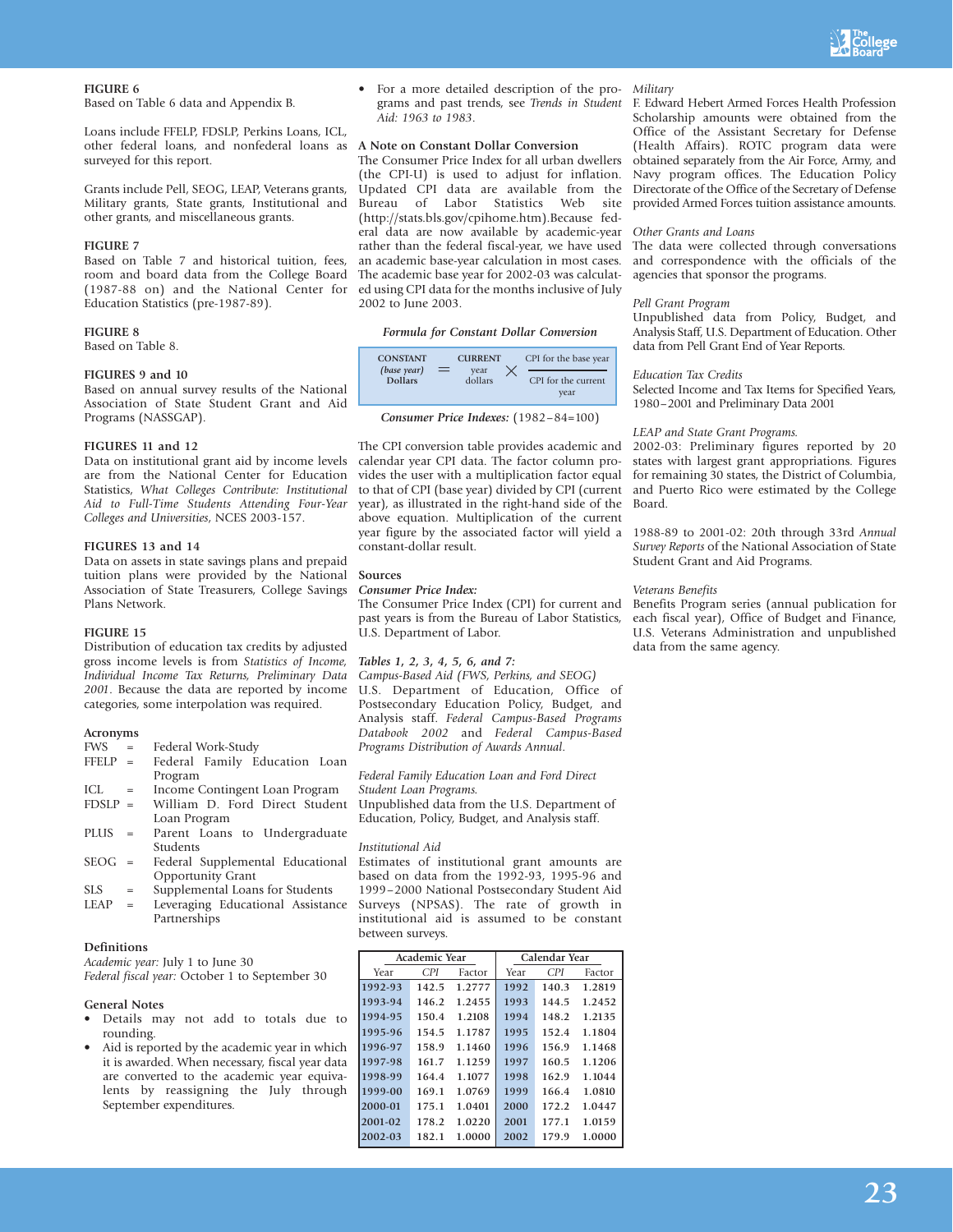

### **FIGURE 6**

Based on Table 6 data and Appendix B.

Loans include FFELP, FDSLP, Perkins Loans, ICL, other federal loans, and nonfederal loans as **A Note on Constant Dollar Conversion** surveyed for this report.

Grants include Pell, SEOG, LEAP, Veterans grants, Military grants, State grants, Institutional and other grants, and miscellaneous grants.

### **FIGURE 7**

Based on Table 7 and historical tuition, fees, room and board data from the College Board (1987-88 on) and the National Center for Education Statistics (pre-1987-89).

### **FIGURE 8**

Based on Table 8.

### **FIGURES 9 and 10**

Based on annual survey results of the National Association of State Student Grant and Aid Programs (NASSGAP).

### **FIGURES 11 and 12**

Data on institutional grant aid by income levels are from the National Center for Education Statistics, *What Colleges Contribute: Institutional Aid to Full-Time Students Attending Four-Year Colleges and Universities*, NCES 2003-157.

### **FIGURES 13 and 14**

Data on assets in state savings plans and prepaid tuition plans were provided by the National Association of State Treasurers, College Savings Plans Network.

### **FIGURE 15**

Distribution of education tax credits by adjusted gross income levels is from *Statistics of Income, Individual Income Tax Returns, Preliminary Data 2001*. Because the data are reported by income categories, some interpolation was required.

### **Acronyms**

- FWS = Federal Work-Study<br>FFELP = Federal Family E = Federal Family Education Loan
- Program
- ICL = Income Contingent Loan Program<br>FDSLP = William D. Ford Direct Studer William D. Ford Direct Student Loan Program
- PLUS = Parent Loans to Undergraduate Students
- SEOG = Federal Supplemental Educational Opportunity Grant
- SLS = Supplemental Loans for Students<br>
LEAP = Leveraging Educational Assistan
- = Leveraging Educational Assistance Partnerships

### **Definitions**

*Academic year:* July 1 to June 30 *Federal fiscal year:* October 1 to September 30

### **General Notes**

- Details may not add to totals due to rounding.
- Aid is reported by the academic year in which it is awarded. When necessary, fiscal year data are converted to the academic year equivalents by reassigning the July through September expenditures.

• For a more detailed description of the programs and past trends, see *Trends in Student Aid: 1963 to 1983*.

The Consumer Price Index for all urban dwellers (the CPI-U) is used to adjust for inflation. Updated CPI data are available from the Bureau of Labor Statistics Web site (http://stats.bls.gov/cpihome.htm).Because federal data are now available by academic-year rather than the federal fiscal-year, we have used an academic base-year calculation in most cases. The academic base year for 2002-03 was calculated using CPI data for the months inclusive of July 2002 to June 2003.

### *Formula for Constant Dollar Conversion*

| <b>CONSTANT</b><br>(base year) | <b>CURRENT</b><br>year |  | CPI for the base year       |  |  |
|--------------------------------|------------------------|--|-----------------------------|--|--|
| <b>Dollars</b>                 | dollars                |  | CPI for the current<br>vear |  |  |

*Consumer Price Indexes:* (1982–84=100)

The CPI conversion table provides academic and calendar year CPI data. The factor column provides the user with a multiplication factor equal to that of CPI (base year) divided by CPI (current year), as illustrated in the right-hand side of the above equation. Multiplication of the current year figure by the associated factor will yield a constant-dollar result.

### **Sources**

### *Consumer Price Index:*

The Consumer Price Index (CPI) for current and past years is from the Bureau of Labor Statistics, U.S. Department of Labor.

### *Tables 1, 2, 3, 4, 5, 6, and 7:*

*Campus-Based Aid (FWS, Perkins, and SEOG)* U.S. Department of Education, Office of Postsecondary Education Policy, Budget, and Analysis staff. *Federal Campus-Based Programs Databook 2002* and *Federal Campus-Based Programs Distribution of Awards Annual*.

### *Federal Family Education Loan and Ford Direct Student Loan Programs.*

Unpublished data from the U.S. Department of Education, Policy, Budget, and Analysis staff.

### *Institutional Aid*

Estimates of institutional grant amounts are based on data from the 1992-93, 1995-96 and 1999–2000 National Postsecondary Student Aid Surveys (NPSAS). The rate of growth in institutional aid is assumed to be constant between surveys.

|             | Academic Year |        | Calendar Year |       |        |  |  |  |
|-------------|---------------|--------|---------------|-------|--------|--|--|--|
| CPI<br>Year |               | Factor | Year          | CPI   | Factor |  |  |  |
| 1992-93     | 142.5         | 1.2777 | 1992          | 140.3 | 1.2819 |  |  |  |
| 1993-94     | 146.2         | 1.2455 | 1993          | 144.5 | 1.2452 |  |  |  |
| 1994-95     | 150.4         | 1.2108 | 1994          | 148.2 | 1.2135 |  |  |  |
| 1995-96     | 154.5         | 1.1787 | 1995          | 152.4 | 1.1804 |  |  |  |
| 1996-97     | 158.9         | 1.1460 | 1996          | 156.9 | 1.1468 |  |  |  |
| 1997-98     | 161.7         | 1.1259 | 1997          | 160.5 | 1.1206 |  |  |  |
| 1998-99     | 164.4         | 1.1077 | 1998          | 162.9 | 1.1044 |  |  |  |
| 1999-00     | 169.1         | 1.0769 | 1999          | 166.4 | 1.0810 |  |  |  |
| 2000-01     | 175.1         | 1.0401 | 2000          | 172.2 | 1.0447 |  |  |  |
| 2001-02     | 178.2         | 1.0220 | 2001          | 177.1 | 1.0159 |  |  |  |
| 2002-03     | 182.1         | 1.0000 | 2002          | 179.9 | 1.0000 |  |  |  |

### *Military*

F. Edward Hebert Armed Forces Health Profession Scholarship amounts were obtained from the Office of the Assistant Secretary for Defense (Health Affairs). ROTC program data were obtained separately from the Air Force, Army, and Navy program offices. The Education Policy Directorate of the Office of the Secretary of Defense provided Armed Forces tuition assistance amounts.

### *Other Grants and Loans*

The data were collected through conversations and correspondence with the officials of the agencies that sponsor the programs.

### *Pell Grant Program*

Unpublished data from Policy, Budget, and Analysis Staff, U.S. Department of Education. Other data from Pell Grant End of Year Reports.

### *Education Tax Credits*

Selected Income and Tax Items for Specified Years, 1980–2001 and Preliminary Data 2001

### *LEAP and State Grant Programs.*

2002-03: Preliminary figures reported by 20 states with largest grant appropriations. Figures for remaining 30 states, the District of Columbia, and Puerto Rico were estimated by the College Board.

1988-89 to 2001-02: 20th through 33rd *Annual Survey Reports* of the National Association of State Student Grant and Aid Programs.

### *Veterans Benefits*

Benefits Program series (annual publication for each fiscal year), Office of Budget and Finance, U.S. Veterans Administration and unpublished data from the same agency.